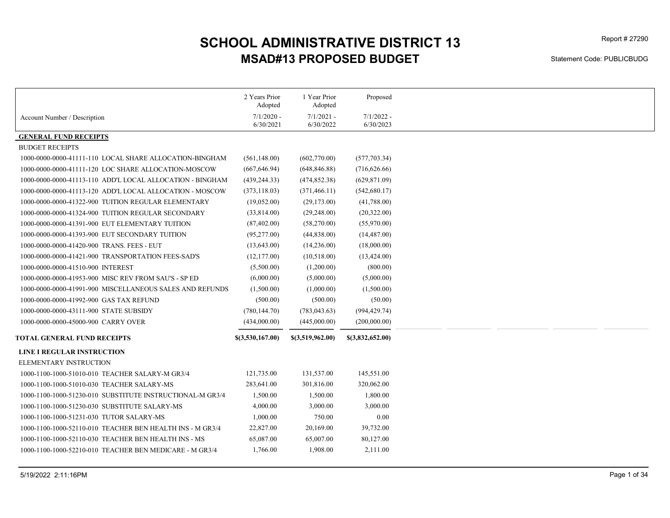# MSAD#13 PROPOSED BUDGET SCHOOL ADMINISTRATIVE DISTRICT 13

Statement Code: PUBLICBUDG

|                                                           | 2 Years Prior<br>Adopted  | 1 Year Prior<br>Adopted   | Proposed                  |
|-----------------------------------------------------------|---------------------------|---------------------------|---------------------------|
| Account Number / Description                              | $7/1/2020$ -<br>6/30/2021 | $7/1/2021$ -<br>6/30/2022 | $7/1/2022 -$<br>6/30/2023 |
| <b>GENERAL FUND RECEIPTS</b>                              |                           |                           |                           |
| <b>BUDGET RECEIPTS</b>                                    |                           |                           |                           |
| 1000-0000-0000-41111-110 LOCAL SHARE ALLOCATION-BINGHAM   | (561, 148.00)             | (602,770.00)              | (577, 703.34)             |
| 1000-0000-0000-41111-120 LOC SHARE ALLOCATION-MOSCOW      | (667, 646.94)             | (648, 846.88)             | (716, 626.66)             |
| 1000-0000-0000-41113-110 ADD'L LOCAL ALLOCATION - BINGHAM | (439, 244.33)             | (474, 852.38)             | (629, 871.09)             |
| 1000-0000-0000-41113-120 ADD'L LOCAL ALLOCATION - MOSCOW  | (373, 118.03)             | (371, 466.11)             | (542,680.17)              |
| 1000-0000-0000-41322-900 TUITION REGULAR ELEMENTARY       | (19,052.00)               | (29,173.00)               | (41,788.00)               |
| 1000-0000-0000-41324-900 TUITION REGULAR SECONDARY        | (33,814.00)               | (29, 248.00)              | (20,322.00)               |
| 1000-0000-0000-41391-900 EUT ELEMENTARY TUITION           | (87, 402.00)              | (58,270.00)               | (55,970.00)               |
|                                                           | (95, 277.00)              | (44,838.00)               | (14, 487.00)              |
| 1000-0000-0000-41393-900 EUT SECONDARY TUITION            |                           |                           |                           |
| 1000-0000-0000-41420-900 TRANS. FEES - EUT                | (13, 643.00)              | (14,236.00)               | (18,000.00)               |
| 1000-0000-0000-41421-900 TRANSPORTATION FEES-SAD'S        | (12, 177.00)              | (10,518.00)               | (13, 424.00)              |
| 1000-0000-0000-41510-900 INTEREST                         | (5,500.00)                | (1,200.00)                | (800.00)                  |
| 1000-0000-0000-41953-900 MISC REV FROM SAU'S - SP ED      | (6,000.00)                | (5,000.00)                | (5,000.00)                |
| 1000-0000-0000-41991-900 MISCELLANEOUS SALES AND REFUNDS  | (1,500.00)                | (1,000.00)                | (1,500.00)                |
| 1000-0000-0000-41992-900 GAS TAX REFUND                   | (500.00)                  | (500.00)                  | (50.00)                   |
| 1000-0000-0000-43111-900 STATE SUBSIDY                    | (780, 144.70)             | (783, 043.63)             | (994, 429.74)             |
| 1000-0000-0000-45000-900 CARRY OVER                       | (434,000.00)              | (445,000.00)              | (200,000.00)              |
| <b>TOTAL GENERAL FUND RECEIPTS</b>                        | \$(3,530,167.00)          | \$(3,519,962.00)          | \$(3,832,652.00)          |
| LINE I REGULAR INSTRUCTION                                |                           |                           |                           |
| ELEMENTARY INSTRUCTION                                    |                           |                           |                           |
| 1000-1100-1000-51010-010 TEACHER SALARY-M GR3/4           | 121,735.00                | 131,537.00                | 145,551.00                |
| 1000-1100-1000-51010-030 TEACHER SALARY-MS                | 283,641.00                | 301,816.00                | 320,062.00                |
| 1000-1100-1000-51230-010 SUBSTITUTE INSTRUCTIONAL-M GR3/4 | 1,500.00                  | 1,500.00                  | 1,800.00                  |
| 1000-1100-1000-51230-030 SUBSTITUTE SALARY-MS             | 4,000.00                  | 3,000.00                  | 3,000.00                  |
| 1000-1100-1000-51231-030 TUTOR SALARY-MS                  | 1,000.00                  | 750.00                    | 0.00                      |
| 1000-1100-1000-52110-010 TEACHER BEN HEALTH INS - M GR3/4 | 22,827.00                 | 20,169.00                 | 39,732.00                 |
| 1000-1100-1000-52110-030 TEACHER BEN HEALTH INS - MS      | 65,087.00                 | 65,007.00                 | 80,127.00                 |
| 1000-1100-1000-52210-010 TEACHER BEN MEDICARE - M GR3/4   | 1,766.00                  | 1,908.00                  | 2,111.00                  |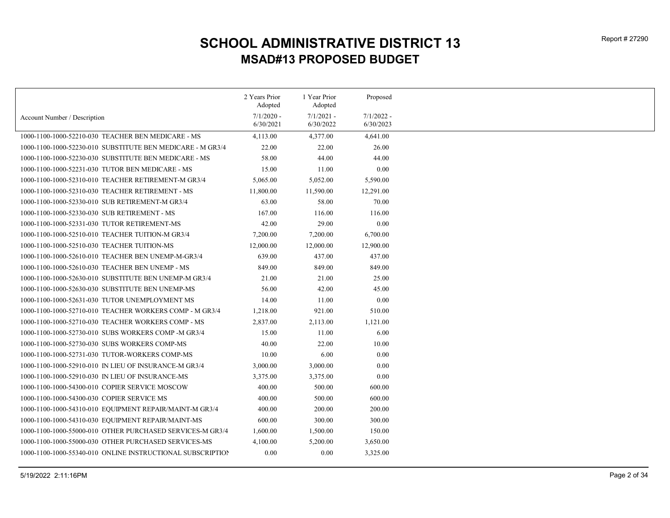|                                                            | 2 Years Prior<br>Adopted | 1 Year Prior<br>Adopted | Proposed     |
|------------------------------------------------------------|--------------------------|-------------------------|--------------|
|                                                            | $7/1/2020$ -             | $7/1/2021 -$            | $7/1/2022 -$ |
| Account Number / Description                               | 6/30/2021                | 6/30/2022               | 6/30/2023    |
| 1000-1100-1000-52210-030 TEACHER BEN MEDICARE - MS         | 4,113.00                 | 4,377.00                | 4,641.00     |
| 1000-1100-1000-52230-010 SUBSTITUTE BEN MEDICARE - M GR3/4 | 22.00                    | 22.00                   | 26.00        |
| 1000-1100-1000-52230-030 SUBSTITUTE BEN MEDICARE - MS      | 58.00                    | 44.00                   | 44.00        |
| 1000-1100-1000-52231-030 TUTOR BEN MEDICARE - MS           | 15.00                    | 11.00                   | 0.00         |
| 1000-1100-1000-52310-010 TEACHER RETIREMENT-M GR3/4        | 5,065.00                 | 5,052.00                | 5,590.00     |
| 1000-1100-1000-52310-030 TEACHER RETIREMENT - MS           | 11,800.00                | 11,590.00               | 12,291.00    |
| 1000-1100-1000-52330-010 SUB RETIREMENT-M GR3/4            | 63.00                    | 58.00                   | 70.00        |
| 1000-1100-1000-52330-030 SUB RETIREMENT - MS               | 167.00                   | 116.00                  | 116.00       |
| 1000-1100-1000-52331-030 TUTOR RETIREMENT-MS               | 42.00                    | 29.00                   | 0.00         |
| 1000-1100-1000-52510-010 TEACHER TUITION-M GR3/4           | 7,200.00                 | 7,200.00                | 6,700.00     |
| 1000-1100-1000-52510-030 TEACHER TUITION-MS                | 12,000.00                | 12,000.00               | 12,900.00    |
| 1000-1100-1000-52610-010 TEACHER BEN UNEMP-M-GR3/4         | 639.00                   | 437.00                  | 437.00       |
| 1000-1100-1000-52610-030 TEACHER BEN UNEMP - MS            | 849.00                   | 849.00                  | 849.00       |
| 1000-1100-1000-52630-010 SUBSTITUTE BEN UNEMP-M GR3/4      | 21.00                    | 21.00                   | 25.00        |
| 1000-1100-1000-52630-030 SUBSTITUTE BEN UNEMP-MS           | 56.00                    | 42.00                   | 45.00        |
| 1000-1100-1000-52631-030 TUTOR UNEMPLOYMENT MS             | 14.00                    | 11.00                   | 0.00         |
| 1000-1100-1000-52710-010 TEACHER WORKERS COMP - M GR3/4    | 1,218.00                 | 921.00                  | 510.00       |
| 1000-1100-1000-52710-030 TEACHER WORKERS COMP - MS         | 2,837.00                 | 2,113.00                | 1,121.00     |
| 1000-1100-1000-52730-010 SUBS WORKERS COMP-M GR3/4         | 15.00                    | 11.00                   | 6.00         |
| 1000-1100-1000-52730-030 SUBS WORKERS COMP-MS              | 40.00                    | 22.00                   | 10.00        |
| 1000-1100-1000-52731-030 TUTOR-WORKERS COMP-MS             | 10.00                    | 6.00                    | 0.00         |
| 1000-1100-1000-52910-010 IN LIEU OF INSURANCE-M GR3/4      | 3,000.00                 | 3,000.00                | 0.00         |
| 1000-1100-1000-52910-030 IN LIEU OF INSURANCE-MS           | 3,375.00                 | 3,375.00                | 0.00         |
| 1000-1100-1000-54300-010 COPIER SERVICE MOSCOW             | 400.00                   | 500.00                  | 600.00       |
| 1000-1100-1000-54300-030 COPIER SERVICE MS                 | 400.00                   | 500.00                  | 600.00       |
| 1000-1100-1000-54310-010 EQUIPMENT REPAIR/MAINT-M GR3/4    | 400.00                   | 200.00                  | 200.00       |
| 1000-1100-1000-54310-030 EQUIPMENT REPAIR/MAINT-MS         | 600.00                   | 300.00                  | 300.00       |
| 1000-1100-1000-55000-010 OTHER PURCHASED SERVICES-M GR3/4  | 1,600.00                 | 1,500.00                | 150.00       |
| 1000-1100-1000-55000-030 OTHER PURCHASED SERVICES-MS       | 4,100.00                 | 5,200.00                | 3,650.00     |
| 1000-1100-1000-55340-010 ONLINE INSTRUCTIONAL SUBSCRIPTION | 0.00                     | 0.00                    | 3,325.00     |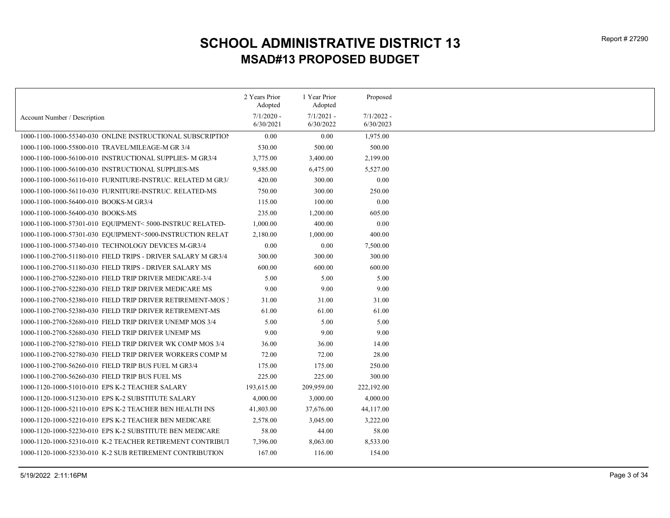|                                                              | 2 Years Prior             | 1 Year Prior              | Proposed                  |
|--------------------------------------------------------------|---------------------------|---------------------------|---------------------------|
|                                                              | Adopted                   | Adopted                   |                           |
| Account Number / Description                                 | $7/1/2020$ -<br>6/30/2021 | $7/1/2021$ -<br>6/30/2022 | $7/1/2022 -$<br>6/30/2023 |
| 1000-1100-1000-55340-030 ONLINE INSTRUCTIONAL SUBSCRIPTION   | 0.00                      | 0.00                      | 1,975.00                  |
| 1000-1100-1000-55800-010 TRAVEL/MILEAGE-M GR 3/4             | 530.00                    | 500.00                    | 500.00                    |
| 1000-1100-1000-56100-010 INSTRUCTIONAL SUPPLIES- M GR3/4     | 3,775.00                  | 3,400.00                  | 2,199.00                  |
| 1000-1100-1000-56100-030 INSTRUCTIONAL SUPPLIES-MS           | 9,585.00                  | 6,475.00                  | 5,527.00                  |
| 1000-1100-1000-56110-010 FURNITURE-INSTRUC. RELATED M GR3/   | 420.00                    | 300.00                    | 0.00                      |
| 1000-1100-1000-56110-030 FURNITURE-INSTRUC. RELATED-MS       | 750.00                    | 300.00                    | 250.00                    |
| 1000-1100-1000-56400-010 BOOKS-M GR3/4                       | 115.00                    | 100.00                    | 0.00                      |
| 1000-1100-1000-56400-030 BOOKS-MS                            | 235.00                    | 1,200.00                  | 605.00                    |
| 1000-1100-1000-57301-010 EQUIPMENT< 5000-INSTRUC RELATED-    | 1,000.00                  | 400.00                    | 0.00                      |
| 1000-1100-1000-57301-030 EQUIPMENT<5000-INSTRUCTION RELAT    | 2,180.00                  | 1,000.00                  | 400.00                    |
| 1000-1100-1000-57340-010 TECHNOLOGY DEVICES M-GR3/4          | 0.00                      | 0.00                      | 7,500.00                  |
| 1000-1100-2700-51180-010 FIELD TRIPS - DRIVER SALARY M GR3/4 | 300.00                    | 300.00                    | 300.00                    |
| 1000-1100-2700-51180-030 FIELD TRIPS - DRIVER SALARY MS      | 600.00                    | 600.00                    | 600.00                    |
| 1000-1100-2700-52280-010 FIELD TRIP DRIVER MEDICARE-3/4      | 5.00                      | 5.00                      | 5.00                      |
| 1000-1100-2700-52280-030 FIELD TRIP DRIVER MEDICARE MS       | 9.00                      | 9.00                      | 9.00                      |
| 1000-1100-2700-52380-010 FIELD TRIP DRIVER RETIREMENT-MOS 3  | 31.00                     | 31.00                     | 31.00                     |
| 1000-1100-2700-52380-030 FIELD TRIP DRIVER RETIREMENT-MS     | 61.00                     | 61.00                     | 61.00                     |
| 1000-1100-2700-52680-010 FIELD TRIP DRIVER UNEMP MOS 3/4     | 5.00                      | 5.00                      | 5.00                      |
| 1000-1100-2700-52680-030 FIELD TRIP DRIVER UNEMP MS          | 9.00                      | 9.00                      | 9.00                      |
| 1000-1100-2700-52780-010 FIELD TRIP DRIVER WK COMP MOS 3/4   | 36.00                     | 36.00                     | 14.00                     |
| 1000-1100-2700-52780-030 FIELD TRIP DRIVER WORKERS COMP M    | 72.00                     | 72.00                     | 28.00                     |
| 1000-1100-2700-56260-010 FIELD TRIP BUS FUEL M GR3/4         | 175.00                    | 175.00                    | 250.00                    |
| 1000-1100-2700-56260-030 FIELD TRIP BUS FUEL MS              | 225.00                    | 225.00                    | 300.00                    |
| 1000-1120-1000-51010-010 EPS K-2 TEACHER SALARY              | 193,615.00                | 209,959.00                | 222,192.00                |
| 1000-1120-1000-51230-010 EPS K-2 SUBSTITUTE SALARY           | 4,000.00                  | 3,000.00                  | 4,000.00                  |
| 1000-1120-1000-52110-010 EPS K-2 TEACHER BEN HEALTH INS      | 41,803.00                 | 37,676.00                 | 44,117.00                 |
| 1000-1120-1000-52210-010 EPS K-2 TEACHER BEN MEDICARE        | 2,578.00                  | 3,045.00                  | 3,222.00                  |
| 1000-1120-1000-52230-010 EPS K-2 SUBSTITUTE BEN MEDICARE     | 58.00                     | 44.00                     | 58.00                     |
| 1000-1120-1000-52310-010 K-2 TEACHER RETIREMENT CONTRIBUT    | 7,396.00                  | 8,063.00                  | 8,533.00                  |
| 1000-1120-1000-52330-010 K-2 SUB RETIREMENT CONTRIBUTION     | 167.00                    | 116.00                    | 154.00                    |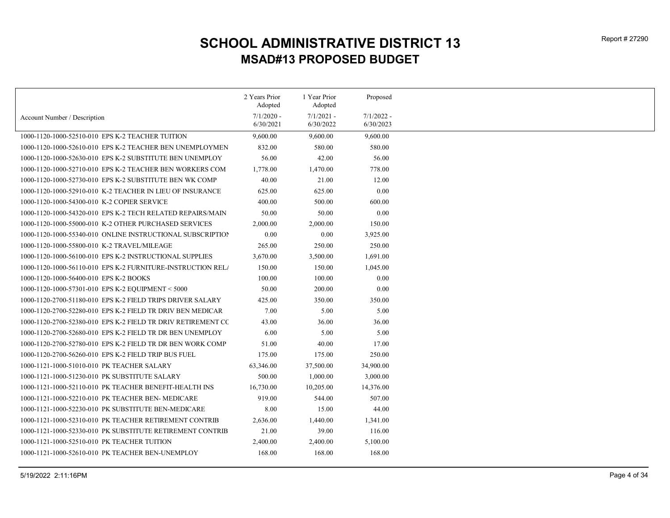|                                                              | 2 Years Prior<br>Adopted | 1 Year Prior<br>Adopted | Proposed     |
|--------------------------------------------------------------|--------------------------|-------------------------|--------------|
|                                                              | $7/1/2020$ -             | $7/1/2021 -$            | $7/1/2022 -$ |
| Account Number / Description                                 | 6/30/2021                | 6/30/2022               | 6/30/2023    |
| 1000-1120-1000-52510-010 EPS K-2 TEACHER TUITION             | 9,600.00                 | 9,600.00                | 9,600.00     |
| 1000-1120-1000-52610-010 EPS K-2 TEACHER BEN UNEMPLOYMEN     | 832.00                   | 580.00                  | 580.00       |
| 1000-1120-1000-52630-010 EPS K-2 SUBSTITUTE BEN UNEMPLOY     | 56.00                    | 42.00                   | 56.00        |
| 1000-1120-1000-52710-010 EPS K-2 TEACHER BEN WORKERS COM     | 1,778.00                 | 1,470.00                | 778.00       |
| 1000-1120-1000-52730-010 EPS K-2 SUBSTITUTE BEN WK COMP      | 40.00                    | 21.00                   | 12.00        |
| 1000-1120-1000-52910-010 K-2 TEACHER IN LIEU OF INSURANCE    | 625.00                   | 625.00                  | 0.00         |
| 1000-1120-1000-54300-010 K-2 COPIER SERVICE                  | 400.00                   | 500.00                  | 600.00       |
| 1000-1120-1000-54320-010 EPS K-2 TECH RELATED REPAIRS/MAIN   | 50.00                    | 50.00                   | 0.00         |
| 1000-1120-1000-55000-010 K-2 OTHER PURCHASED SERVICES        | 2,000.00                 | 2,000.00                | 150.00       |
| 1000-1120-1000-55340-010 ONLINE INSTRUCTIONAL SUBSCRIPTION   | 0.00                     | 0.00                    | 3,925.00     |
| 1000-1120-1000-55800-010 K-2 TRAVEL/MILEAGE                  | 265.00                   | 250.00                  | 250.00       |
| 1000-1120-1000-56100-010 EPS K-2 INSTRUCTIONAL SUPPLIES      | 3,670.00                 | 3,500.00                | 1,691.00     |
| 1000-1120-1000-56110-010 EPS K-2 FURNITURE-INSTRUCTION RELA  | 150.00                   | 150.00                  | 1,045.00     |
| 1000-1120-1000-56400-010 EPS K-2 BOOKS                       | 100.00                   | 100.00                  | 0.00         |
| 1000-1120-1000-57301-010 EPS K-2 EQUIPMENT < 5000            | 50.00                    | 200.00                  | 0.00         |
| 1000-1120-2700-51180-010 EPS K-2 FIELD TRIPS DRIVER SALARY   | 425.00                   | 350.00                  | 350.00       |
| 1000-1120-2700-52280-010 EPS K-2 FIELD TR DRIV BEN MEDICAR   | 7.00                     | 5.00                    | 5.00         |
| 1000-1120-2700-52380-010 EPS K-2 FIELD TR DRIV RETIREMENT CC | 43.00                    | 36.00                   | 36.00        |
| 1000-1120-2700-52680-010 EPS K-2 FIELD TR DR BEN UNEMPLOY    | 6.00                     | 5.00                    | 5.00         |
| 1000-1120-2700-52780-010 EPS K-2 FIELD TR DR BEN WORK COMP   | 51.00                    | 40.00                   | 17.00        |
| 1000-1120-2700-56260-010 EPS K-2 FIELD TRIP BUS FUEL         | 175.00                   | 175.00                  | 250.00       |
| 1000-1121-1000-51010-010 PK TEACHER SALARY                   | 63,346.00                | 37,500.00               | 34,900.00    |
| 1000-1121-1000-51230-010 PK SUBSTITUTE SALARY                | 500.00                   | 1,000.00                | 3,000.00     |
| 1000-1121-1000-52110-010 PK TEACHER BENEFIT-HEALTH INS       | 16,730.00                | 10,205.00               | 14,376.00    |
| 1000-1121-1000-52210-010 PK TEACHER BEN- MEDICARE            | 919.00                   | 544.00                  | 507.00       |
| 1000-1121-1000-52230-010 PK SUBSTITUTE BEN-MEDICARE          | 8.00                     | 15.00                   | 44.00        |
| 1000-1121-1000-52310-010 PK TEACHER RETIREMENT CONTRIB       | 2,636.00                 | 1,440.00                | 1,341.00     |
| 1000-1121-1000-52330-010 PK SUBSTITUTE RETIREMENT CONTRIB    | 21.00                    | 39.00                   | 116.00       |
| 1000-1121-1000-52510-010 PK TEACHER TUITION                  | 2,400.00                 | 2,400.00                | 5,100.00     |
| 1000-1121-1000-52610-010 PK TEACHER BEN-UNEMPLOY             | 168.00                   | 168.00                  | 168.00       |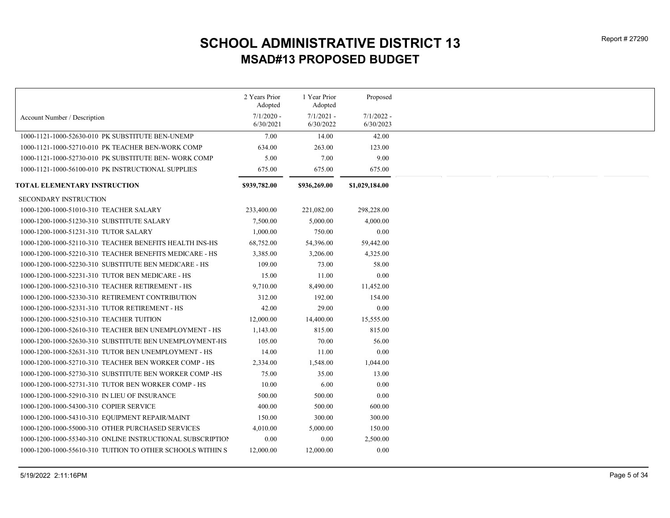|                                                            | 2 Years Prior<br>Adopted  | 1 Year Prior<br>Adopted   | Proposed                  |
|------------------------------------------------------------|---------------------------|---------------------------|---------------------------|
| Account Number / Description                               | $7/1/2020$ -<br>6/30/2021 | $7/1/2021$ -<br>6/30/2022 | $7/1/2022 -$<br>6/30/2023 |
| 1000-1121-1000-52630-010 PK SUBSTITUTE BEN-UNEMP           | 7.00                      | 14.00                     | 42.00                     |
| 1000-1121-1000-52710-010 PK TEACHER BEN-WORK COMP          | 634.00                    | 263.00                    | 123.00                    |
| 1000-1121-1000-52730-010 PK SUBSTITUTE BEN- WORK COMP      | 5.00                      | 7.00                      | 9.00                      |
| 1000-1121-1000-56100-010 PK INSTRUCTIONAL SUPPLIES         | 675.00                    | 675.00                    | 675.00                    |
|                                                            |                           |                           |                           |
| TOTAL ELEMENTARY INSTRUCTION                               | \$939,782.00              | \$936,269.00              | \$1,029,184.00            |
| <b>SECONDARY INSTRUCTION</b>                               |                           |                           |                           |
| 1000-1200-1000-51010-310 TEACHER SALARY                    | 233,400.00                | 221,082.00                | 298,228.00                |
| 1000-1200-1000-51230-310 SUBSTITUTE SALARY                 | 7,500.00                  | 5,000.00                  | 4,000.00                  |
| 1000-1200-1000-51231-310 TUTOR SALARY                      | 1,000.00                  | 750.00                    | 0.00                      |
| 1000-1200-1000-52110-310 TEACHER BENEFITS HEALTH INS-HS    | 68,752.00                 | 54,396.00                 | 59,442.00                 |
| 1000-1200-1000-52210-310 TEACHER BENEFITS MEDICARE - HS    | 3,385.00                  | 3,206.00                  | 4,325.00                  |
| 1000-1200-1000-52230-310 SUBSTITUTE BEN MEDICARE - HS      | 109.00                    | 73.00                     | 58.00                     |
| 1000-1200-1000-52231-310 TUTOR BEN MEDICARE - HS           | 15.00                     | 11.00                     | 0.00                      |
| 1000-1200-1000-52310-310 TEACHER RETIREMENT - HS           | 9,710.00                  | 8,490.00                  | 11,452.00                 |
| 1000-1200-1000-52330-310 RETIREMENT CONTRIBUTION           | 312.00                    | 192.00                    | 154.00                    |
| 1000-1200-1000-52331-310 TUTOR RETIREMENT - HS             | 42.00                     | 29.00                     | 0.00                      |
| 1000-1200-1000-52510-310 TEACHER TUITION                   | 12,000.00                 | 14,400.00                 | 15,555.00                 |
| 1000-1200-1000-52610-310 TEACHER BEN UNEMPLOYMENT - HS     | 1,143.00                  | 815.00                    | 815.00                    |
| 1000-1200-1000-52630-310 SUBSTITUTE BEN UNEMPLOYMENT-HS    | 105.00                    | 70.00                     | 56.00                     |
| 1000-1200-1000-52631-310 TUTOR BEN UNEMPLOYMENT - HS       | 14.00                     | 11.00                     | 0.00                      |
| 1000-1200-1000-52710-310 TEACHER BEN WORKER COMP - HS      | 2,334.00                  | 1,548.00                  | 1,044.00                  |
| 1000-1200-1000-52730-310 SUBSTITUTE BEN WORKER COMP-HS     | 75.00                     | 35.00                     | 13.00                     |
| 1000-1200-1000-52731-310 TUTOR BEN WORKER COMP - HS        | 10.00                     | 6.00                      | 0.00                      |
| 1000-1200-1000-52910-310 IN LIEU OF INSURANCE              | 500.00                    | 500.00                    | 0.00                      |
| 1000-1200-1000-54300-310 COPIER SERVICE                    | 400.00                    | 500.00                    | 600.00                    |
| 1000-1200-1000-54310-310 EQUIPMENT REPAIR/MAINT            | 150.00                    | 300.00                    | 300.00                    |
| 1000-1200-1000-55000-310 OTHER PURCHASED SERVICES          | 4,010.00                  | 5,000.00                  | 150.00                    |
| 1000-1200-1000-55340-310 ONLINE INSTRUCTIONAL SUBSCRIPTION | 0.00                      | 0.00                      | 2,500.00                  |
| 1000-1200-1000-55610-310 TUITION TO OTHER SCHOOLS WITHIN S | 12,000.00                 | 12,000.00                 | 0.00                      |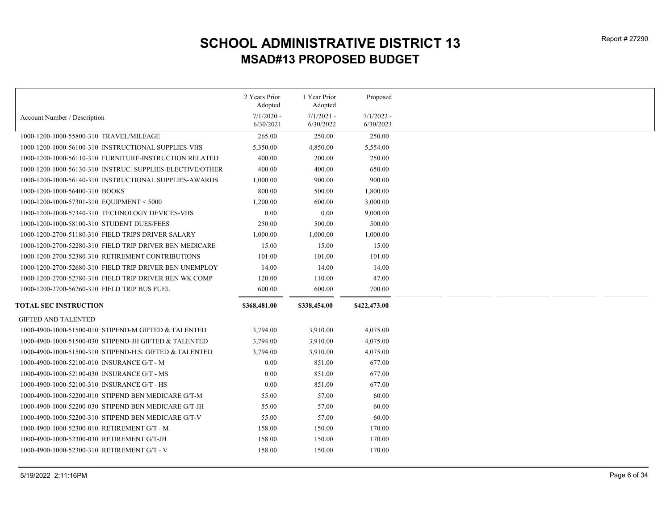|                                                           | 2 Years Prior<br>Adopted | 1 Year Prior<br>Adopted | Proposed     |
|-----------------------------------------------------------|--------------------------|-------------------------|--------------|
| Account Number / Description                              | $7/1/2020$ -             | $7/1/2021$ -            | $7/1/2022$ - |
|                                                           | 6/30/2021                | 6/30/2022               | 6/30/2023    |
| 1000-1200-1000-55800-310 TRAVEL/MILEAGE                   | 265.00                   | 250.00                  | 250.00       |
| 1000-1200-1000-56100-310 INSTRUCTIONAL SUPPLIES-VHS       | 5,350.00                 | 4,850.00                | 5,554.00     |
| 1000-1200-1000-56110-310 FURNITURE-INSTRUCTION RELATED    | 400.00                   | 200.00                  | 250.00       |
| 1000-1200-1000-56130-310 INSTRUC, SUPPLIES-ELECTIVE/OTHER | 400.00                   | 400.00                  | 650.00       |
| 1000-1200-1000-56140-310 INSTRUCTIONAL SUPPLIES-AWARDS    | 1,000.00                 | 900.00                  | 900.00       |
| 1000-1200-1000-56400-310 BOOKS                            | 800.00                   | 500.00                  | 1,800.00     |
| 1000-1200-1000-57301-310 EQUIPMENT < 5000                 | 1,200.00                 | 600.00                  | 3,000.00     |
| 1000-1200-1000-57340-310 TECHNOLOGY DEVICES-VHS           | 0.00                     | 0.00                    | 9,000.00     |
| 1000-1200-1000-58100-310 STUDENT DUES/FEES                | 250.00                   | 500.00                  | 500.00       |
| 1000-1200-2700-51180-310 FIELD TRIPS DRIVER SALARY        | 1,000.00                 | 1,000.00                | 1,000.00     |
| 1000-1200-2700-52280-310 FIELD TRIP DRIVER BEN MEDICARE   | 15.00                    | 15.00                   | 15.00        |
| 1000-1200-2700-52380-310 RETIREMENT CONTRIBUTIONS         | 101.00                   | 101.00                  | 101.00       |
| 1000-1200-2700-52680-310 FIELD TRIP DRIVER BEN UNEMPLOY   | 14.00                    | 14.00                   | 14.00        |
| 1000-1200-2700-52780-310 FIELD TRIP DRIVER BEN WK COMP    | 120.00                   | 110.00                  | 47.00        |
| 1000-1200-2700-56260-310 FIELD TRIP BUS FUEL              | 600.00                   | 600.00                  | 700.00       |
|                                                           |                          |                         |              |
| <b>TOTAL SEC INSTRUCTION</b>                              | \$368,481.00             | \$338,454.00            | \$422,473.00 |
| <b>GIFTED AND TALENTED</b>                                |                          |                         |              |
| 1000-4900-1000-51500-010 STIPEND-M GIFTED & TALENTED      | 3,794.00                 | 3,910.00                | 4,075.00     |
| 1000-4900-1000-51500-030 STIPEND-JH GIFTED & TALENTED     | 3,794.00                 | 3,910.00                | 4,075.00     |
| 1000-4900-1000-51500-310 STIPEND-H.S. GIFTED & TALENTED   | 3,794.00                 | 3,910.00                | 4,075.00     |
| 1000-4900-1000-52100-010 INSURANCE G/T - M                | 0.00                     | 851.00                  | 677.00       |
| 1000-4900-1000-52100-030 INSURANCE G/T - MS               | 0.00                     | 851.00                  | 677.00       |
| 1000-4900-1000-52100-310 INSURANCE G/T - HS               | 0.00                     | 851.00                  | 677.00       |
| 1000-4900-1000-52200-010 STIPEND BEN MEDICARE G/T-M       | 55.00                    | 57.00                   | 60.00        |
| 1000-4900-1000-52200-030 STIPEND BEN MEDICARE G/T-JH      | 55.00                    | 57.00                   | 60.00        |
| 1000-4900-1000-52200-310 STIPEND BEN MEDICARE G/T-V       | 55.00                    | 57.00                   | 60.00        |
| 1000-4900-1000-52300-010 RETIREMENT G/T - M               | 158.00                   | 150.00                  | 170.00       |
| 1000-4900-1000-52300-030 RETIREMENT G/T-JH                | 158.00                   | 150.00                  | 170.00       |
| 1000-4900-1000-52300-310 RETIREMENT G/T - V               | 158.00                   | 150.00                  | 170.00       |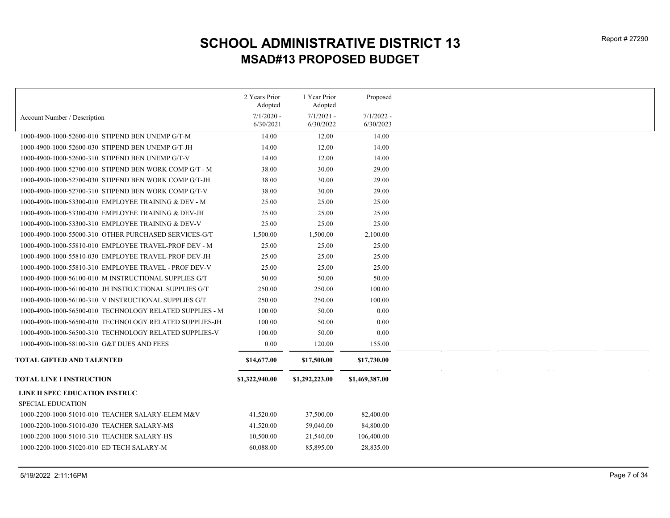|                                                          | 2 Years Prior<br>Adopted  | 1 Year Prior<br>Adopted   | Proposed                  |
|----------------------------------------------------------|---------------------------|---------------------------|---------------------------|
| Account Number / Description                             | $7/1/2020$ -<br>6/30/2021 | $7/1/2021 -$<br>6/30/2022 | $7/1/2022 -$<br>6/30/2023 |
| 1000-4900-1000-52600-010 STIPEND BEN UNEMP G/T-M         | 14.00                     | 12.00                     | 14.00                     |
| 1000-4900-1000-52600-030 STIPEND BEN UNEMP G/T-JH        | 14.00                     | 12.00                     | 14.00                     |
| 1000-4900-1000-52600-310 STIPEND BEN UNEMP G/T-V         | 14.00                     | 12.00                     | 14.00                     |
| 1000-4900-1000-52700-010 STIPEND BEN WORK COMP G/T - M   | 38.00                     | 30.00                     | 29.00                     |
| 1000-4900-1000-52700-030 STIPEND BEN WORK COMP G/T-JH    | 38.00                     | 30.00                     | 29.00                     |
| 1000-4900-1000-52700-310 STIPEND BEN WORK COMP G/T-V     | 38.00                     | 30.00                     | 29.00                     |
| 1000-4900-1000-53300-010 EMPLOYEE TRAINING & DEV - M     | 25.00                     | 25.00                     | 25.00                     |
| 1000-4900-1000-53300-030 EMPLOYEE TRAINING & DEV-JH      | 25.00                     | 25.00                     | 25.00                     |
| 1000-4900-1000-53300-310 EMPLOYEE TRAINING & DEV-V       | 25.00                     | 25.00                     | 25.00                     |
| 1000-4900-1000-55000-310 OTHER PURCHASED SERVICES-G/T    | 1,500.00                  | 1,500.00                  | 2,100.00                  |
| 1000-4900-1000-55810-010 EMPLOYEE TRAVEL-PROF DEV - M    | 25.00                     | 25.00                     | 25.00                     |
| 1000-4900-1000-55810-030 EMPLOYEE TRAVEL-PROF DEV-JH     | 25.00                     | 25.00                     | 25.00                     |
| 1000-4900-1000-55810-310 EMPLOYEE TRAVEL - PROF DEV-V    | 25.00                     | 25.00                     | 25.00                     |
| 1000-4900-1000-56100-010 M INSTRUCTIONAL SUPPLIES G/T    | 50.00                     | 50.00                     | 50.00                     |
| 1000-4900-1000-56100-030 JH INSTRUCTIONAL SUPPLIES G/T   | 250.00                    | 250.00                    | 100.00                    |
| 1000-4900-1000-56100-310 V INSTRUCTIONAL SUPPLIES G/T    | 250.00                    | 250.00                    | 100.00                    |
| 1000-4900-1000-56500-010 TECHNOLOGY RELATED SUPPLIES - M | 100.00                    | 50.00                     | 0.00                      |
| 1000-4900-1000-56500-030 TECHNOLOGY RELATED SUPPLIES-JH  | 100.00                    | 50.00                     | 0.00                      |
| 1000-4900-1000-56500-310 TECHNOLOGY RELATED SUPPLIES-V   | 100.00                    | 50.00                     | 0.00                      |
| 1000-4900-1000-58100-310 G&T DUES AND FEES               | 0.00                      | 120.00                    | 155.00                    |
|                                                          |                           |                           |                           |
| <b>TOTAL GIFTED AND TALENTED</b>                         | \$14,677.00               | \$17,500.00               | \$17,730.00               |
| <b>TOTAL LINE I INSTRUCTION</b>                          | \$1,322,940.00            | \$1,292,223.00            | \$1,469,387.00            |
| LINE II SPEC EDUCATION INSTRUC                           |                           |                           |                           |
| <b>SPECIAL EDUCATION</b>                                 |                           |                           |                           |
| 1000-2200-1000-51010-010 TEACHER SALARY-ELEM M&V         | 41,520.00                 | 37,500.00                 | 82,400.00                 |
| 1000-2200-1000-51010-030 TEACHER SALARY-MS               | 41,520.00                 | 59,040.00                 | 84,800.00                 |
| 1000-2200-1000-51010-310 TEACHER SALARY-HS               | 10,500.00                 | 21,540.00                 | 106,400.00                |
| 1000-2200-1000-51020-010 ED TECH SALARY-M                | 60,088.00                 | 85,895.00                 | 28,835.00                 |
|                                                          |                           |                           |                           |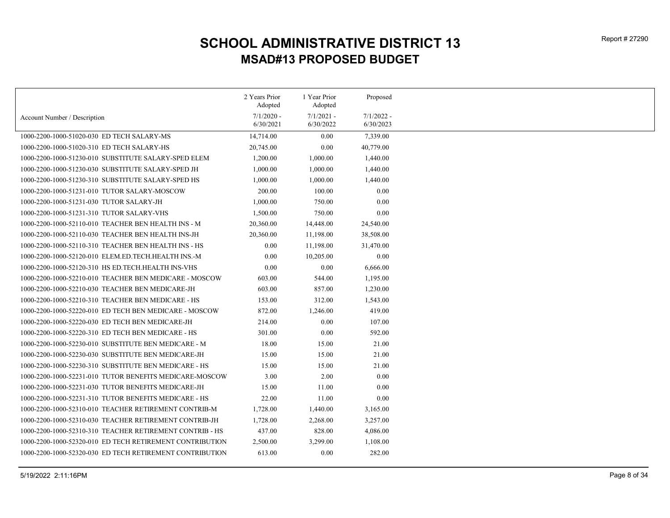|                                                          | 2 Years Prior<br>Adopted | 1 Year Prior<br>Adopted | Proposed     |
|----------------------------------------------------------|--------------------------|-------------------------|--------------|
|                                                          | $7/1/2020$ -             | $7/1/2021 -$            | $7/1/2022 -$ |
| Account Number / Description                             | 6/30/2021                | 6/30/2022               | 6/30/2023    |
| 1000-2200-1000-51020-030 ED TECH SALARY-MS               | 14,714.00                | 0.00                    | 7,339.00     |
| 1000-2200-1000-51020-310 ED TECH SALARY-HS               | 20,745.00                | 0.00                    | 40,779.00    |
| 1000-2200-1000-51230-010 SUBSTITUTE SALARY-SPED ELEM     | 1,200.00                 | 1,000.00                | 1,440.00     |
| 1000-2200-1000-51230-030 SUBSTITUTE SALARY-SPED JH       | 1,000.00                 | 1,000.00                | 1,440.00     |
| 1000-2200-1000-51230-310 SUBSTITUTE SALARY-SPED HS       | 1,000.00                 | 1,000.00                | 1,440.00     |
| 1000-2200-1000-51231-010 TUTOR SALARY-MOSCOW             | 200.00                   | 100.00                  | 0.00         |
| 1000-2200-1000-51231-030 TUTOR SALARY-JH                 | 1,000.00                 | 750.00                  | 0.00         |
| 1000-2200-1000-51231-310 TUTOR SALARY-VHS                | 1,500.00                 | 750.00                  | 0.00         |
| 1000-2200-1000-52110-010 TEACHER BEN HEALTH INS - M      | 20,360.00                | 14,448.00               | 24,540.00    |
| 1000-2200-1000-52110-030 TEACHER BEN HEALTH INS-JH       | 20,360.00                | 11,198.00               | 38,508.00    |
| 1000-2200-1000-52110-310 TEACHER BEN HEALTH INS - HS     | 0.00                     | 11,198.00               | 31,470.00    |
| 1000-2200-1000-52120-010 ELEM.ED.TECH.HEALTH INS.-M      | 0.00                     | 10,205.00               | 0.00         |
| 1000-2200-1000-52120-310 HS ED.TECH.HEALTH INS-VHS       | 0.00                     | 0.00                    | 6,666.00     |
| 1000-2200-1000-52210-010 TEACHER BEN MEDICARE - MOSCOW   | 603.00                   | 544.00                  | 1,195.00     |
| 1000-2200-1000-52210-030 TEACHER BEN MEDICARE-JH         | 603.00                   | 857.00                  | 1,230.00     |
| 1000-2200-1000-52210-310 TEACHER BEN MEDICARE - HS       | 153.00                   | 312.00                  | 1,543.00     |
| 1000-2200-1000-52220-010 ED TECH BEN MEDICARE - MOSCOW   | 872.00                   | 1,246.00                | 419.00       |
| 1000-2200-1000-52220-030 ED TECH BEN MEDICARE-JH         | 214.00                   | 0.00                    | 107.00       |
| 1000-2200-1000-52220-310 ED TECH BEN MEDICARE - HS       | 301.00                   | 0.00                    | 592.00       |
| 1000-2200-1000-52230-010 SUBSTITUTE BEN MEDICARE - M     | 18.00                    | 15.00                   | 21.00        |
| 1000-2200-1000-52230-030 SUBSTITUTE BEN MEDICARE-JH      | 15.00                    | 15.00                   | 21.00        |
| 1000-2200-1000-52230-310 SUBSTITUTE BEN MEDICARE - HS    | 15.00                    | 15.00                   | 21.00        |
| 1000-2200-1000-52231-010 TUTOR BENEFITS MEDICARE-MOSCOW  | 3.00                     | 2.00                    | 0.00         |
| 1000-2200-1000-52231-030 TUTOR BENEFITS MEDICARE-JH      | 15.00                    | 11.00                   | 0.00         |
| 1000-2200-1000-52231-310 TUTOR BENEFITS MEDICARE - HS    | 22.00                    | 11.00                   | 0.00         |
| 1000-2200-1000-52310-010 TEACHER RETIREMENT CONTRIB-M    | 1,728.00                 | 1,440.00                | 3,165.00     |
| 1000-2200-1000-52310-030 TEACHER RETIREMENT CONTRIB-JH   | 1,728.00                 | 2,268.00                | 3,257.00     |
| 1000-2200-1000-52310-310 TEACHER RETIREMENT CONTRIB - HS | 437.00                   | 828.00                  | 4,086.00     |
| 1000-2200-1000-52320-010 ED TECH RETIREMENT CONTRIBUTION | 2,500.00                 | 3,299.00                | 1,108.00     |
| 1000-2200-1000-52320-030 ED TECH RETIREMENT CONTRIBUTION | 613.00                   | 0.00                    | 282.00       |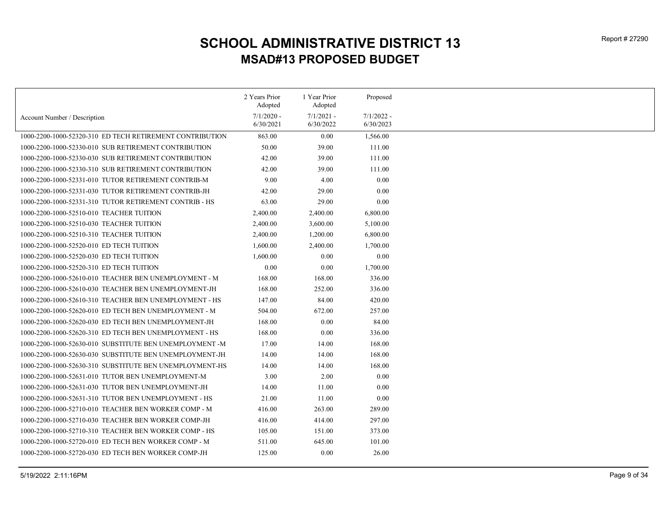|                                                          | 2 Years Prior<br>Adopted | 1 Year Prior<br>Adopted | Proposed     |
|----------------------------------------------------------|--------------------------|-------------------------|--------------|
|                                                          | $7/1/2020$ -             | $7/1/2021 -$            | $7/1/2022 -$ |
| Account Number / Description                             | 6/30/2021                | 6/30/2022               | 6/30/2023    |
| 1000-2200-1000-52320-310 ED TECH RETIREMENT CONTRIBUTION | 863.00                   | 0.00                    | 1,566.00     |
| 1000-2200-1000-52330-010 SUB RETIREMENT CONTRIBUTION     | 50.00                    | 39.00                   | 111.00       |
| 1000-2200-1000-52330-030 SUB RETIREMENT CONTRIBUTION     | 42.00                    | 39.00                   | 111.00       |
| 1000-2200-1000-52330-310 SUB RETIREMENT CONTRIBUTION     | 42.00                    | 39.00                   | 111.00       |
| 1000-2200-1000-52331-010 TUTOR RETIREMENT CONTRIB-M      | 9.00                     | 4.00                    | 0.00         |
| 1000-2200-1000-52331-030 TUTOR RETIREMENT CONTRIB-JH     | 42.00                    | 29.00                   | 0.00         |
| 1000-2200-1000-52331-310 TUTOR RETIREMENT CONTRIB - HS   | 63.00                    | 29.00                   | 0.00         |
| 1000-2200-1000-52510-010 TEACHER TUITION                 | 2,400.00                 | 2,400.00                | 6,800.00     |
| 1000-2200-1000-52510-030 TEACHER TUITION                 | 2,400.00                 | 3,600.00                | 5,100.00     |
| 1000-2200-1000-52510-310 TEACHER TUITION                 | 2,400.00                 | 1,200.00                | 6,800.00     |
| 1000-2200-1000-52520-010 ED TECH TUITION                 | 1,600.00                 | 2,400.00                | 1,700.00     |
| 1000-2200-1000-52520-030 ED TECH TUITION                 | 1,600.00                 | 0.00                    | 0.00         |
| 1000-2200-1000-52520-310 ED TECH TUITION                 | 0.00                     | 0.00                    | 1,700.00     |
| 1000-2200-1000-52610-010 TEACHER BEN UNEMPLOYMENT - M    | 168.00                   | 168.00                  | 336.00       |
| 1000-2200-1000-52610-030 TEACHER BEN UNEMPLOYMENT-JH     | 168.00                   | 252.00                  | 336.00       |
| 1000-2200-1000-52610-310 TEACHER BEN UNEMPLOYMENT - HS   | 147.00                   | 84.00                   | 420.00       |
| 1000-2200-1000-52620-010 ED TECH BEN UNEMPLOYMENT - M    | 504.00                   | 672.00                  | 257.00       |
| 1000-2200-1000-52620-030 ED TECH BEN UNEMPLOYMENT-JH     | 168.00                   | 0.00                    | 84.00        |
| 1000-2200-1000-52620-310 ED TECH BEN UNEMPLOYMENT - HS   | 168.00                   | 0.00                    | 336.00       |
| 1000-2200-1000-52630-010 SUBSTITUTE BEN UNEMPLOYMENT -M  | 17.00                    | 14.00                   | 168.00       |
| 1000-2200-1000-52630-030 SUBSTITUTE BEN UNEMPLOYMENT-JH  | 14.00                    | 14.00                   | 168.00       |
| 1000-2200-1000-52630-310 SUBSTITUTE BEN UNEMPLOYMENT-HS  | 14.00                    | 14.00                   | 168.00       |
| 1000-2200-1000-52631-010 TUTOR BEN UNEMPLOYMENT-M        | 3.00                     | 2.00                    | 0.00         |
| 1000-2200-1000-52631-030 TUTOR BEN UNEMPLOYMENT-JH       | 14.00                    | 11.00                   | 0.00         |
| 1000-2200-1000-52631-310 TUTOR BEN UNEMPLOYMENT - HS     | 21.00                    | 11.00                   | 0.00         |
| 1000-2200-1000-52710-010 TEACHER BEN WORKER COMP - M     | 416.00                   | 263.00                  | 289.00       |
| 1000-2200-1000-52710-030 TEACHER BEN WORKER COMP-JH      | 416.00                   | 414.00                  | 297.00       |
| 1000-2200-1000-52710-310 TEACHER BEN WORKER COMP - HS    | 105.00                   | 151.00                  | 373.00       |
| 1000-2200-1000-52720-010 ED TECH BEN WORKER COMP - M     | 511.00                   | 645.00                  | 101.00       |
| 1000-2200-1000-52720-030 ED TECH BEN WORKER COMP-JH      | 125.00                   | 0.00                    | 26.00        |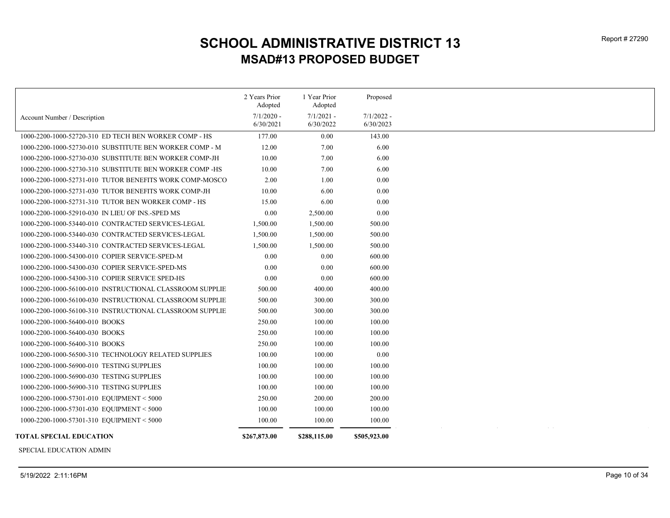|                                                                                                         | 2 Years Prior<br>Adopted  | 1 Year Prior<br>Adopted   | Proposed                  |
|---------------------------------------------------------------------------------------------------------|---------------------------|---------------------------|---------------------------|
| Account Number / Description                                                                            | $7/1/2020$ -<br>6/30/2021 | $7/1/2021$ -<br>6/30/2022 | $7/1/2022$ -<br>6/30/2023 |
| 1000-2200-1000-52720-310 ED TECH BEN WORKER COMP - HS                                                   | 177.00                    | 0.00                      | 143.00                    |
| 1000-2200-1000-52730-010 SUBSTITUTE BEN WORKER COMP - M                                                 | 12.00                     | 7.00                      | 6.00                      |
| 1000-2200-1000-52730-030 SUBSTITUTE BEN WORKER COMP-JH                                                  | 10.00                     | 7.00                      | 6.00                      |
| 1000-2200-1000-52730-310 SUBSTITUTE BEN WORKER COMP-HS                                                  | 10.00                     | 7.00                      | 6.00                      |
| 1000-2200-1000-52731-010 TUTOR BENEFITS WORK COMP-MOSCO                                                 | 2.00                      | 1.00                      | 0.00                      |
| 1000-2200-1000-52731-030 TUTOR BENEFITS WORK COMP-JH                                                    | 10.00                     | 6.00                      | 0.00                      |
|                                                                                                         | 15.00                     | 6.00                      | 0.00                      |
| 1000-2200-1000-52731-310 TUTOR BEN WORKER COMP - HS<br>1000-2200-1000-52910-030 IN LIEU OF INS.-SPED MS | 0.00                      |                           | 0.00                      |
| 1000-2200-1000-53440-010 CONTRACTED SERVICES-LEGAL                                                      |                           | 2,500.00<br>1,500.00      | 500.00                    |
|                                                                                                         | 1,500.00                  |                           |                           |
| 1000-2200-1000-53440-030 CONTRACTED SERVICES-LEGAL                                                      | 1,500.00                  | 1,500.00                  | 500.00                    |
| 1000-2200-1000-53440-310 CONTRACTED SERVICES-LEGAL                                                      | 1,500.00                  | 1,500.00                  | 500.00                    |
| 1000-2200-1000-54300-010 COPIER SERVICE-SPED-M                                                          | 0.00                      | 0.00                      | 600.00                    |
| 1000-2200-1000-54300-030 COPIER SERVICE-SPED-MS                                                         | 0.00                      | 0.00                      | 600.00                    |
| 1000-2200-1000-54300-310 COPIER SERVICE SPED-HS                                                         | 0.00                      | 0.00                      | 600.00                    |
| 1000-2200-1000-56100-010 INSTRUCTIONAL CLASSROOM SUPPLIE                                                | 500.00                    | 400.00                    | 400.00                    |
| 1000-2200-1000-56100-030 INSTRUCTIONAL CLASSROOM SUPPLIE                                                | 500.00                    | 300.00                    | 300.00                    |
| 1000-2200-1000-56100-310 INSTRUCTIONAL CLASSROOM SUPPLIE                                                | 500.00                    | 300.00                    | 300.00                    |
| 1000-2200-1000-56400-010 BOOKS                                                                          | 250.00                    | 100.00                    | 100.00                    |
| 1000-2200-1000-56400-030 BOOKS                                                                          | 250.00                    | 100.00                    | 100.00                    |
| 1000-2200-1000-56400-310 BOOKS                                                                          | 250.00                    | 100.00                    | 100.00                    |
| 1000-2200-1000-56500-310 TECHNOLOGY RELATED SUPPLIES                                                    | 100.00                    | 100.00                    | 0.00                      |
| 1000-2200-1000-56900-010 TESTING SUPPLIES                                                               | 100.00                    | 100.00                    | 100.00                    |
| 1000-2200-1000-56900-030 TESTING SUPPLIES                                                               | 100.00                    | 100.00                    | 100.00                    |
| 1000-2200-1000-56900-310 TESTING SUPPLIES                                                               | 100.00                    | 100.00                    | 100.00                    |
| 1000-2200-1000-57301-010 EQUIPMENT < 5000                                                               | 250.00                    | 200.00                    | 200.00                    |
| 1000-2200-1000-57301-030 EQUIPMENT < 5000                                                               | 100.00                    | 100.00                    | 100.00                    |
| 1000-2200-1000-57301-310 EQUIPMENT < 5000                                                               | 100.00                    | 100.00                    | 100.00                    |
| <b>TOTAL SPECIAL EDUCATION</b>                                                                          | \$267,873.00              | \$288,115.00              | \$505,923.00              |

SPECIAL EDUCATION ADMIN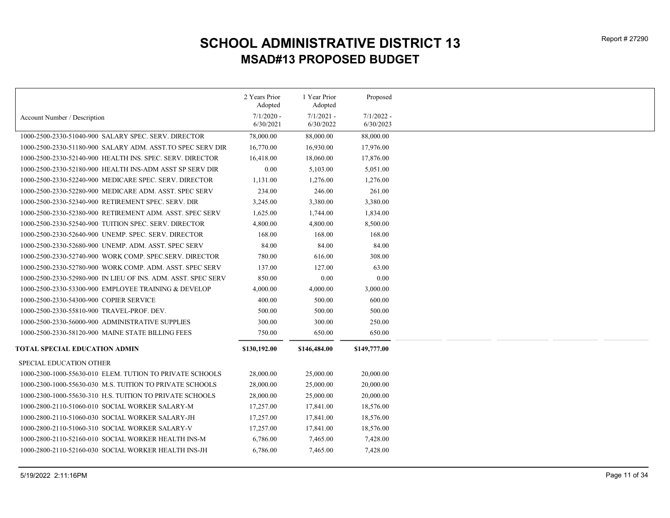|              |                          | Proposed                |
|--------------|--------------------------|-------------------------|
| $7/1/2020$ - | $7/1/2021$ -             | $7/1/2022 -$            |
| 6/30/2021    | 6/30/2022                | 6/30/2023               |
| 78,000.00    | 88,000.00                | 88,000.00               |
| 16,770.00    | 16,930.00                | 17,976.00               |
| 16,418.00    | 18,060.00                | 17,876.00               |
| 0.00         | 5,103.00                 | 5,051.00                |
| 1,131.00     | 1,276.00                 | 1,276.00                |
| 234.00       | 246.00                   | 261.00                  |
| 3,245.00     | 3,380.00                 | 3,380.00                |
| 1,625.00     | 1,744.00                 | 1,834.00                |
| 4,800.00     | 4,800.00                 | 8,500.00                |
| 168.00       | 168.00                   | 168.00                  |
| 84.00        | 84.00                    | 84.00                   |
| 780.00       | 616.00                   | 308.00                  |
| 137.00       | 127.00                   | 63.00                   |
| 850.00       | $0.00\,$                 | 0.00                    |
| 4,000.00     | 4,000.00                 | 3,000.00                |
| 400.00       | 500.00                   | 600.00                  |
| 500.00       | 500.00                   | 500.00                  |
| 300.00       | 300.00                   | 250.00                  |
| 750.00       | 650.00                   | 650.00                  |
| \$130,192.00 | \$146,484.00             | \$149,777.00            |
|              |                          |                         |
| 28,000.00    | 25,000.00                | 20,000.00               |
| 28,000.00    | 25,000.00                | 20,000.00               |
| 28,000.00    | 25,000.00                | 20,000.00               |
| 17,257.00    | 17,841.00                | 18,576.00               |
| 17,257.00    | 17,841.00                | 18,576.00               |
| 17,257.00    | 17,841.00                | 18,576.00               |
| 6,786.00     | 7,465.00                 | 7,428.00                |
| 6,786.00     | 7,465.00                 | 7,428.00                |
|              | 2 Years Prior<br>Adopted | 1 Year Prior<br>Adopted |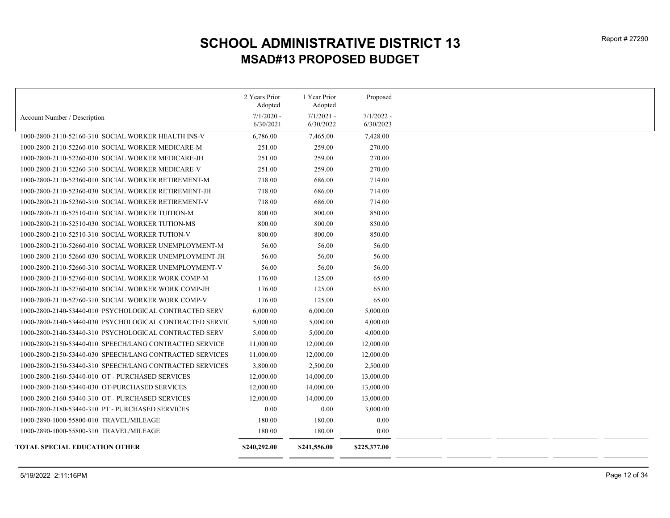|                                                          | 2 Years Prior<br>Adopted | 1 Year Prior<br>Adopted | Proposed     |
|----------------------------------------------------------|--------------------------|-------------------------|--------------|
| Account Number / Description                             | $7/1/2020$ -             | $7/1/2021$ -            | $7/1/2022$ - |
|                                                          | 6/30/2021                | 6/30/2022               | 6/30/2023    |
| 1000-2800-2110-52160-310 SOCIAL WORKER HEALTH INS-V      | 6,786.00                 | 7,465.00                | 7,428.00     |
| 1000-2800-2110-52260-010 SOCIAL WORKER MEDICARE-M        | 251.00                   | 259.00                  | 270.00       |
| 1000-2800-2110-52260-030 SOCIAL WORKER MEDICARE-JH       | 251.00                   | 259.00                  | 270.00       |
| 1000-2800-2110-52260-310 SOCIAL WORKER MEDICARE-V        | 251.00                   | 259.00                  | 270.00       |
| 1000-2800-2110-52360-010 SOCIAL WORKER RETIREMENT-M      | 718.00                   | 686.00                  | 714.00       |
| 1000-2800-2110-52360-030 SOCIAL WORKER RETIREMENT-JH     | 718.00                   | 686.00                  | 714.00       |
| 1000-2800-2110-52360-310 SOCIAL WORKER RETIREMENT-V      | 718.00                   | 686.00                  | 714.00       |
| 1000-2800-2110-52510-010 SOCIAL WORKER TUITION-M         | 800.00                   | 800.00                  | 850.00       |
| 1000-2800-2110-52510-030 SOCIAL WORKER TUTION-MS         | 800.00                   | 800.00                  | 850.00       |
| 1000-2800-2110-52510-310 SOCIAL WORKER TUTION-V          | 800.00                   | 800.00                  | 850.00       |
| 1000-2800-2110-52660-010 SOCIAL WORKER UNEMPLOYMENT-M    | 56.00                    | 56.00                   | 56.00        |
| 1000-2800-2110-52660-030 SOCIAL WORKER UNEMPLOYMENT-JH   | 56.00                    | 56.00                   | 56.00        |
| 1000-2800-2110-52660-310 SOCIAL WORKER UNEMPLOYMENT-V    | 56.00                    | 56.00                   | 56.00        |
| 1000-2800-2110-52760-010 SOCIAL WORKER WORK COMP-M       | 176.00                   | 125.00                  | 65.00        |
| 1000-2800-2110-52760-030 SOCIAL WORKER WORK COMP-JH      | 176.00                   | 125.00                  | 65.00        |
| 1000-2800-2110-52760-310 SOCIAL WORKER WORK COMP-V       | 176.00                   | 125.00                  | 65.00        |
| 1000-2800-2140-53440-010 PSYCHOLOGICAL CONTRACTED SERV   | 6,000.00                 | 6,000.00                | 5,000.00     |
| 1000-2800-2140-53440-030 PSYCHOLOGICAL CONTRACTED SERVIC | 5,000.00                 | 5,000.00                | 4,000.00     |
| 1000-2800-2140-53440-310 PSYCHOLOGICAL CONTRACTED SERV   | 5,000.00                 | 5,000.00                | 4,000.00     |
| 1000-2800-2150-53440-010 SPEECH/LANG CONTRACTED SERVICE  | 11,000.00                | 12,000.00               | 12,000.00    |
| 1000-2800-2150-53440-030 SPEECH/LANG CONTRACTED SERVICES | 11,000.00                | 12,000.00               | 12,000.00    |
| 1000-2800-2150-53440-310 SPEECH/LANG CONTRACTED SERVICES | 3,800.00                 | 2,500.00                | 2,500.00     |
| 1000-2800-2160-53440-010 OT - PURCHASED SERVICES         | 12,000.00                | 14,000.00               | 13,000.00    |
| 1000-2800-2160-53440-030 OT-PURCHASED SERVICES           | 12,000.00                | 14,000.00               | 13,000.00    |
| 1000-2800-2160-53440-310 OT - PURCHASED SERVICES         | 12,000.00                | 14,000.00               | 13,000.00    |
| 1000-2800-2180-53440-310 PT - PURCHASED SERVICES         | 0.00                     | 0.00                    | 3,000.00     |
| 1000-2890-1000-55800-010 TRAVEL/MILEAGE                  | 180.00                   | 180.00                  | 0.00         |
| 1000-2890-1000-55800-310 TRAVEL/MILEAGE                  | 180.00                   | 180.00                  | 0.00         |
| TOTAL SPECIAL EDUCATION OTHER                            | \$240,292.00             |                         |              |
|                                                          |                          | \$241,556.00            | \$225,377.00 |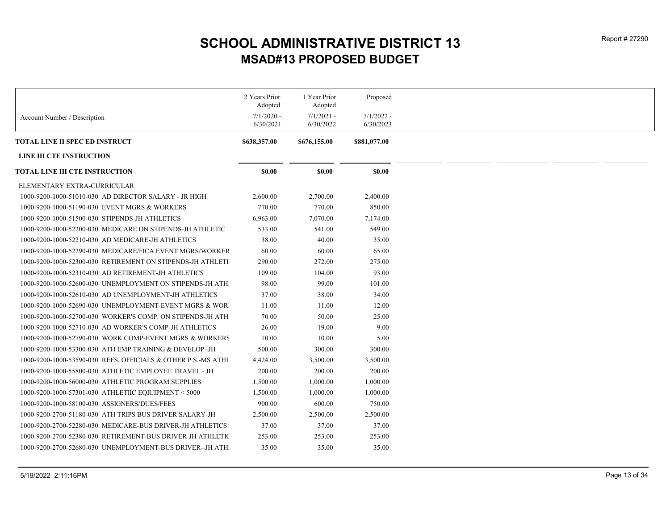|                                                               | 2 Years Prior<br>Adopted | 1 Year Prior<br>Adopted | Proposed     |
|---------------------------------------------------------------|--------------------------|-------------------------|--------------|
| Account Number / Description                                  | $7/1/2020$ -             | $7/1/2021 -$            | $7/1/2022 -$ |
|                                                               | 6/30/2021                | 6/30/2022               | 6/30/2023    |
| TOTAL LINE II SPEC ED INSTRUCT                                | \$638,357.00             | \$676,155.00            | \$881,077.00 |
| LINE III CTE INSTRUCTION                                      |                          |                         |              |
| TOTAL LINE III CTE INSTRUCTION                                | \$0.00                   | \$0.00                  | \$0.00       |
| ELEMENTARY EXTRA-CURRICULAR                                   |                          |                         |              |
| 1000-9200-1000-51010-030 AD DIRECTOR SALARY - JR HIGH         | 2,600.00                 | 2,700.00                | 2,400.00     |
| 1000-9200-1000-51190-030 EVENT MGRS & WORKERS                 | 770.00                   | 770.00                  | 850.00       |
| 1000-9200-1000-51500-030 STIPENDS-JH ATHLETICS                | 6,963.00                 | 7,070.00                | 7,174.00     |
| 1000-9200-1000-52200-030 MEDICARE ON STIPENDS-JH ATHLETIC     | 533.00                   | 541.00                  | 549.00       |
| 1000-9200-1000-52210-030 AD MEDICARE-JH ATHLETICS             | 38.00                    | 40.00                   | 35.00        |
| 1000-9200-1000-52290-030 MEDICARE/FICA EVENT MGRS/WORKEF      | 60.00                    | 60.00                   | 65.00        |
| 1000-9200-1000-52300-030 RETIREMENT ON STIPENDS-JH ATHLETI    | 290.00                   | 272.00                  | 275.00       |
| 1000-9200-1000-52310-030 AD RETIREMENT-JH ATHLETICS           | 109.00                   | 104.00                  | 93.00        |
| 1000-9200-1000-52600-030 UNEMPLOYMENT ON STIPENDS-JH ATH      | 98.00                    | 99.00                   | 101.00       |
| 1000-9200-1000-52610-030 AD UNEMPLOYMENT-JH ATHLETICS         | 37.00                    | 38.00                   | 34.00        |
| 1000-9200-1000-52690-030 UNEMPLOYMENT-EVENT MGRS & WOR        | 11.00                    | 11.00                   | 12.00        |
| 1000-9200-1000-52700-030 WORKER'S COMP. ON STIPENDS-JH ATH    | 70.00                    | 50.00                   | 25.00        |
| 1000-9200-1000-52710-030 AD WORKER'S COMP-JH ATHLETICS        | 26.00                    | 19.00                   | 9.00         |
| 1000-9200-1000-52790-030 WORK COMP-EVENT MGRS & WORKERS       | 10.00                    | 10.00                   | 5.00         |
| 1000-9200-1000-53300-030 ATH EMP TRAINING & DEVELOP -JH       | 500.00                   | 300.00                  | 300.00       |
| 1000-9200-1000-53590-030 REFS, OFFICIALS & OTHER P.S.-MS ATHI | 4,424.00                 | 3,500.00                | 3,500.00     |
| 1000-9200-1000-55800-030 ATHLETIC EMPLOYEE TRAVEL - JH        | 200.00                   | 200.00                  | 200.00       |
| 1000-9200-1000-56000-030 ATHLETIC PROGRAM SUPPLIES            | 1,500.00                 | 1,000.00                | 1,000.00     |
| 1000-9200-1000-57301-030 ATHLETIIC EQIUIPMENT < 5000          | 1,500.00                 | 1,000.00                | 1,000.00     |
| 1000-9200-1000-58100-030 ASSIGNERS/DUES/FEES                  | 900.00                   | 600.00                  | 750.00       |
| 1000-9200-2700-51180-030 ATH TRIPS BUS DRIVER SALARY-JH       | 2,500.00                 | 2,500.00                | 2,500.00     |
| 1000-9200-2700-52280-030 MEDICARE-BUS DRIVER-JH ATHLETICS     | 37.00                    | 37.00                   | 37.00        |
| 1000-9200-2700-52380-030 RETIREMENT-BUS DRIVER-JH ATHLETIC    | 253.00                   | 253.00                  | 253.00       |
| 1000-9200-2700-52680-030 UNEMPLOYMENT-BUS DRIVER--JH ATH      | 35.00                    | 35.00                   | 35.00        |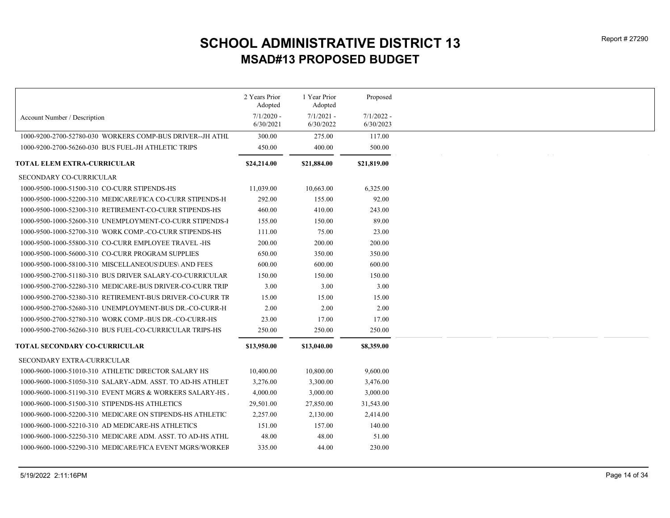|                                                            | 2 Years Prior<br>Adopted  | 1 Year Prior<br>Adopted   | Proposed                  |
|------------------------------------------------------------|---------------------------|---------------------------|---------------------------|
|                                                            |                           |                           |                           |
| Account Number / Description                               | $7/1/2020$ -<br>6/30/2021 | $7/1/2021 -$<br>6/30/2022 | $7/1/2022 -$<br>6/30/2023 |
| 1000-9200-2700-52780-030 WORKERS COMP-BUS DRIVER--JH ATHL  | 300.00                    | 275.00                    | 117.00                    |
| 1000-9200-2700-56260-030 BUS FUEL-JH ATHLETIC TRIPS        | 450.00                    | 400.00                    | 500.00                    |
| TOTAL ELEM EXTRA-CURRICULAR                                | \$24,214.00               | \$21,884.00               | \$21,819.00               |
| <b>SECONDARY CO-CURRICULAR</b>                             |                           |                           |                           |
| 1000-9500-1000-51500-310 CO-CURR STIPENDS-HS               | 11,039.00                 | 10,663.00                 | 6,325.00                  |
| 1000-9500-1000-52200-310 MEDICARE/FICA CO-CURR STIPENDS-H  | 292.00                    | 155.00                    | 92.00                     |
| 1000-9500-1000-52300-310 RETIREMENT-CO-CURR STIPENDS-HS    | 460.00                    | 410.00                    | 243.00                    |
|                                                            | 155.00                    | 150.00                    | 89.00                     |
| 1000-9500-1000-52700-310 WORK COMP.-CO-CURR STIPENDS-HS    | 111.00                    | 75.00                     | 23.00                     |
| 1000-9500-1000-55800-310 CO-CURR EMPLOYEE TRAVEL -HS       | 200.00                    | 200.00                    | 200.00                    |
| 1000-9500-1000-56000-310 CO-CURR PROGRAM SUPPLIES          | 650.00                    | 350.00                    | 350.00                    |
| 1000-9500-1000-58100-310 MISCELLANEOUS\DUES\ AND FEES      | 600.00                    | 600.00                    | 600.00                    |
| 1000-9500-2700-51180-310 BUS DRIVER SALARY-CO-CURRICULAR   | 150.00                    | 150.00                    | 150.00                    |
| 1000-9500-2700-52280-310 MEDICARE-BUS DRIVER-CO-CURR TRIP  | 3.00                      | 3.00                      | 3.00                      |
| 1000-9500-2700-52380-310  RETIREMENT-BUS DRIVER-CO-CURR TR | 15.00                     | 15.00                     | 15.00                     |
| 1000-9500-2700-52680-310_UNEMPLOYMENT-BUS DR.-CO-CURR-H    | 2.00                      | 2.00                      | 2.00                      |
| 1000-9500-2700-52780-310 WORK COMP.-BUS DR.-CO-CURR-HS     | 23.00                     | 17.00                     | 17.00                     |
| 1000-9500-2700-56260-310 BUS FUEL-CO-CURRICULAR TRIPS-HS   | 250.00                    | 250.00                    | 250.00                    |
| TOTAL SECONDARY CO-CURRICULAR                              | \$13,950.00               | \$13,040.00               | \$8,359.00                |
| SECONDARY EXTRA-CURRICULAR                                 |                           |                           |                           |
| 1000-9600-1000-51010-310 ATHLETIC DIRECTOR SALARY HS       | 10,400.00                 | 10,800.00                 | 9,600.00                  |
|                                                            | 3,276.00                  | 3,300.00                  | 3,476.00                  |
| 1000-9600-1000-51190-310 EVENT MGRS & WORKERS SALARY-HS.   | 4,000.00                  | 3,000.00                  | 3,000.00                  |
| 1000-9600-1000-51500-310 STIPENDS-HS ATHLETICS             | 29,501.00                 | 27,850.00                 | 31,543.00                 |
| 1000-9600-1000-52200-310 MEDICARE ON STIPENDS-HS ATHLETIC  | 2,257.00                  | 2,130.00                  | 2,414.00                  |
| 1000-9600-1000-52210-310 AD MEDICARE-HS ATHLETICS          | 151.00                    | 157.00                    | 140.00                    |
| 1000-9600-1000-52250-310 MEDICARE ADM. ASST. TO AD-HS ATHL | 48.00                     | 48.00                     | 51.00                     |
| 1000-9600-1000-52290-310 MEDICARE/FICA EVENT MGRS/WORKEF   | 335.00                    | 44.00                     | 230.00                    |
|                                                            |                           |                           |                           |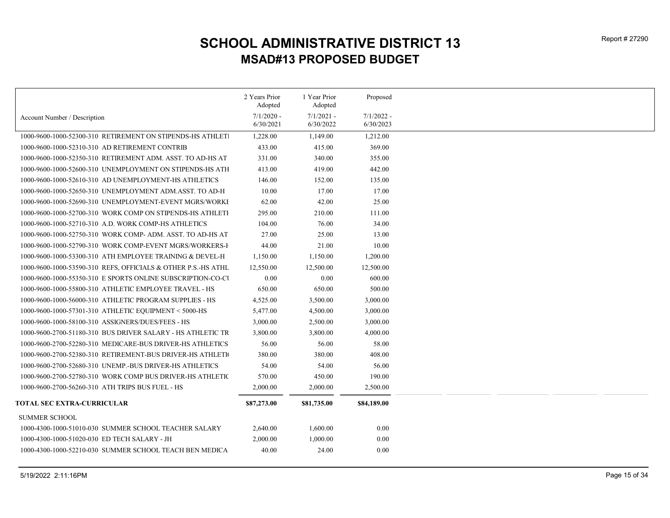|                                                               | 2 Years Prior<br>Adopted  | 1 Year Prior<br>Adopted   | Proposed                  |
|---------------------------------------------------------------|---------------------------|---------------------------|---------------------------|
| Account Number / Description                                  | $7/1/2020$ -<br>6/30/2021 | $7/1/2021$ -<br>6/30/2022 | $7/1/2022 -$<br>6/30/2023 |
| 1000-9600-1000-52300-310 RETIREMENT ON STIPENDS-HS ATHLET     | 1,228.00                  | 1,149.00                  | 1,212.00                  |
| 1000-9600-1000-52310-310 AD RETIREMENT CONTRIB                | 433.00                    | 415.00                    | 369.00                    |
| 1000-9600-1000-52350-310 RETIREMENT ADM. ASST. TO AD-HS AT    | 331.00                    | 340.00                    | 355.00                    |
| 1000-9600-1000-52600-310 UNEMPLOYMENT ON STIPENDS-HS ATH      | 413.00                    | 419.00                    | 442.00                    |
| 1000-9600-1000-52610-310 AD UNEMPLOYMENT-HS ATHLETICS         | 146.00                    | 152.00                    | 135.00                    |
| 1000-9600-1000-52650-310 UNEMPLOYMENT ADM.ASST. TO AD-H       | 10.00                     | 17.00                     | 17.00                     |
| 1000-9600-1000-52690-310 UNEMPLOYMENT-EVENT MGRS/WORKI        | 62.00                     | 42.00                     | 25.00                     |
| 1000-9600-1000-52700-310 WORK COMP ON STIPENDS-HS ATHLETI     | 295.00                    | 210.00                    | 111.00                    |
| 1000-9600-1000-52710-310 A.D. WORK COMP-HS ATHLETICS          | 104.00                    | 76.00                     | 34.00                     |
| 1000-9600-1000-52750-310 WORK COMP-ADM. ASST. TO AD-HS AT     | 27.00                     | 25.00                     | 13.00                     |
| 1000-9600-1000-52790-310 WORK COMP-EVENT MGRS/WORKERS-I       | 44.00                     | 21.00                     | 10.00                     |
| 1000-9600-1000-53300-310 ATH EMPLOYEE TRAINING & DEVEL-H      | 1,150.00                  | 1,150.00                  | 1,200.00                  |
| 1000-9600-1000-53590-310 REFS, OFFICIALS & OTHER P.S.-HS ATHL | 12,550.00                 | 12,500.00                 | 12,500.00                 |
| 1000-9600-1000-55350-310 E SPORTS ONLINE SUBSCRIPTION-CO-CI   | 0.00                      | 0.00                      | 600.00                    |
| 1000-9600-1000-55800-310 ATHLETIC EMPLOYEE TRAVEL - HS        | 650.00                    | 650.00                    | 500.00                    |
| 1000-9600-1000-56000-310 ATHLETIC PROGRAM SUPPLIES - HS       | 4,525.00                  | 3,500.00                  | 3,000.00                  |
| 1000-9600-1000-57301-310 ATHLETIC EQUIPMENT < 5000-HS         | 5,477.00                  | 4,500.00                  | 3,000.00                  |
| 1000-9600-1000-58100-310 ASSIGNERS/DUES/FEES - HS             | 3,000.00                  | 2,500.00                  | 3,000.00                  |
| 1000-9600-2700-51180-310 BUS DRIVER SALARY - HS ATHLETIC TR   | 3,800.00                  | 3,800.00                  | 4,000.00                  |
| 1000-9600-2700-52280-310 MEDICARE-BUS DRIVER-HS ATHLETICS     | 56.00                     | 56.00                     | 58.00                     |
| 1000-9600-2700-52380-310 RETIREMENT-BUS DRIVER-HS ATHLETI     | 380.00                    | 380.00                    | 408.00                    |
| 1000-9600-2700-52680-310 UNEMP.-BUS DRIVER-HS ATHLETICS       | 54.00                     | 54.00                     | 56.00                     |
| 1000-9600-2700-52780-310 WORK COMP BUS DRIVER-HS ATHLETIC     | 570.00                    | 450.00                    | 190.00                    |
| 1000-9600-2700-56260-310 ATH TRIPS BUS FUEL - HS              | 2,000.00                  | 2,000.00                  | 2,500.00                  |
| TOTAL SEC EXTRA-CURRICULAR                                    | \$87,273.00               | \$81,735.00               | \$84,189.00               |
| <b>SUMMER SCHOOL</b>                                          |                           |                           |                           |
| 1000-4300-1000-51010-030 SUMMER SCHOOL TEACHER SALARY         | 2,640.00                  | 1,600.00                  | 0.00                      |
| 1000-4300-1000-51020-030 ED TECH SALARY - JH                  | 2,000.00                  | 1,000.00                  | 0.00                      |
| 1000-4300-1000-52210-030 SUMMER SCHOOL TEACH BEN MEDICA       | 40.00                     | 24.00                     | 0.00                      |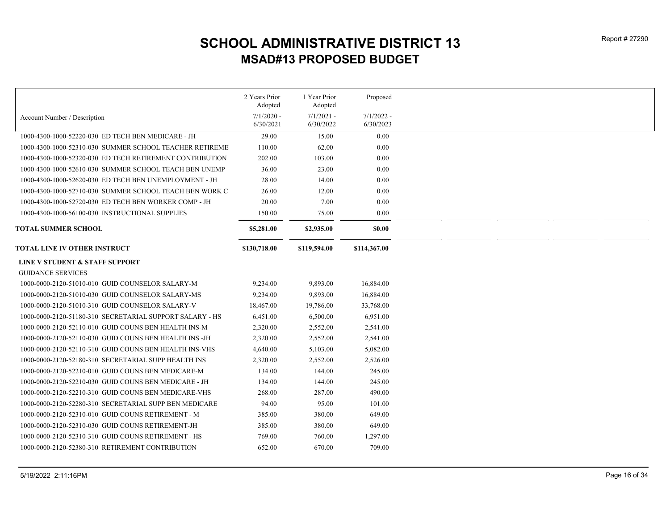|                                                          | 2 Years Prior<br>Adopted  | 1 Year Prior<br>Adopted   | Proposed                  |
|----------------------------------------------------------|---------------------------|---------------------------|---------------------------|
|                                                          |                           |                           |                           |
| Account Number / Description                             | $7/1/2020$ -<br>6/30/2021 | $7/1/2021 -$<br>6/30/2022 | $7/1/2022 -$<br>6/30/2023 |
| 1000-4300-1000-52220-030 ED TECH BEN MEDICARE - JH       | 29.00                     | 15.00                     | 0.00                      |
| 1000-4300-1000-52310-030 SUMMER SCHOOL TEACHER RETIREME  | 110.00                    | 62.00                     | $0.00\,$                  |
| 1000-4300-1000-52320-030 ED TECH RETIREMENT CONTRIBUTION | 202.00                    | 103.00                    | 0.00                      |
| 1000-4300-1000-52610-030 SUMMER SCHOOL TEACH BEN UNEMP   | 36.00                     | 23.00                     | 0.00                      |
| 1000-4300-1000-52620-030 ED TECH BEN UNEMPLOYMENT - JH   | 28.00                     | 14.00                     | 0.00                      |
| 1000-4300-1000-52710-030 SUMMER SCHOOL TEACH BEN WORK C  | 26.00                     | 12.00                     | 0.00                      |
| 1000-4300-1000-52720-030 ED TECH BEN WORKER COMP - JH    | 20.00                     | 7.00                      | 0.00                      |
| 1000-4300-1000-56100-030 INSTRUCTIONAL SUPPLIES          | 150.00                    | 75.00                     | 0.00                      |
|                                                          |                           |                           |                           |
| <b>TOTAL SUMMER SCHOOL</b>                               | \$5,281.00                | \$2,935.00                | \$0.00                    |
| TOTAL LINE IV OTHER INSTRUCT                             | \$130,718.00              | \$119,594.00              | \$114,367.00              |
| LINE V STUDENT & STAFF SUPPORT                           |                           |                           |                           |
| <b>GUIDANCE SERVICES</b>                                 |                           |                           |                           |
| 1000-0000-2120-51010-010 GUID COUNSELOR SALARY-M         | 9,234.00                  | 9,893.00                  | 16,884.00                 |
| 1000-0000-2120-51010-030 GUID COUNSELOR SALARY-MS        | 9,234.00                  | 9,893.00                  | 16,884.00                 |
| 1000-0000-2120-51010-310 GUID COUNSELOR SALARY-V         | 18,467.00                 | 19,786.00                 | 33,768.00                 |
| 1000-0000-2120-51180-310 SECRETARIAL SUPPORT SALARY - HS | 6,451.00                  | 6,500.00                  | 6,951.00                  |
| 1000-0000-2120-52110-010 GUID COUNS BEN HEALTH INS-M     | 2,320.00                  | 2,552.00                  | 2,541.00                  |
| 1000-0000-2120-52110-030 GUID COUNS BEN HEALTH INS-JH    | 2,320.00                  | 2,552.00                  | 2,541.00                  |
| 1000-0000-2120-52110-310 GUID COUNS BEN HEALTH INS-VHS   | 4,640.00                  | 5,103.00                  | 5,082.00                  |
| 1000-0000-2120-52180-310 SECRETARIAL SUPP HEALTH INS     | 2,320.00                  | 2,552.00                  | 2,526.00                  |
| 1000-0000-2120-52210-010 GUID COUNS BEN MEDICARE-M       | 134.00                    | 144.00                    | 245.00                    |
| 1000-0000-2120-52210-030 GUID COUNS BEN MEDICARE - JH    | 134.00                    | 144.00                    | 245.00                    |
| 1000-0000-2120-52210-310 GUID COUNS BEN MEDICARE-VHS     | 268.00                    | 287.00                    | 490.00                    |
| 1000-0000-2120-52280-310 SECRETARIAL SUPP BEN MEDICARE   | 94.00                     | 95.00                     | 101.00                    |
| 1000-0000-2120-52310-010 GUID COUNS RETIREMENT - M       | 385.00                    | 380.00                    | 649.00                    |
| 1000-0000-2120-52310-030 GUID COUNS RETIREMENT-JH        | 385.00                    | 380.00                    | 649.00                    |
| 1000-0000-2120-52310-310  GUID COUNS RETIREMENT - HS     | 769.00                    | 760.00                    | 1,297.00                  |
| 1000-0000-2120-52380-310 RETIREMENT CONTRIBUTION         | 652.00                    | 670.00                    | 709.00                    |
|                                                          |                           |                           |                           |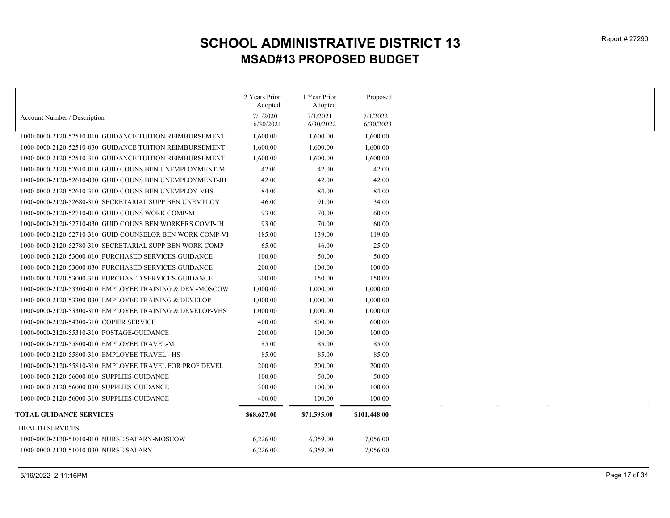|                                                          | 2 Years Prior<br>Adopted | 1 Year Prior<br>Adopted | Proposed     |
|----------------------------------------------------------|--------------------------|-------------------------|--------------|
| Account Number / Description                             | $7/1/2020$ -             | $7/1/2021$ -            | $7/1/2022$ - |
|                                                          | 6/30/2021                | 6/30/2022               | 6/30/2023    |
| 1000-0000-2120-52510-010 GUIDANCE TUITION REIMBURSEMENT  | 1,600.00                 | 1,600.00                | 1,600.00     |
| 1000-0000-2120-52510-030 GUIDANCE TUITION REIMBURSEMENT  | 1,600.00                 | 1,600.00                | 1,600.00     |
| 1000-0000-2120-52510-310 GUIDANCE TUITION REIMBURSEMENT  | 1,600.00                 | 1,600.00                | 1,600.00     |
| 1000-0000-2120-52610-010 GUID COUNS BEN UNEMPLOYMENT-M   | 42.00                    | 42.00                   | 42.00        |
| 1000-0000-2120-52610-030 GUID COUNS BEN UNEMPLOYMENT-JH  | 42.00                    | 42.00                   | 42.00        |
| 1000-0000-2120-52610-310 GUID COUNS BEN UNEMPLOY-VHS     | 84.00                    | 84.00                   | 84.00        |
| 1000-0000-2120-52680-310 SECRETARIAL SUPP BEN UNEMPLOY   | 46.00                    | 91.00                   | 34.00        |
| 1000-0000-2120-52710-010 GUID COUNS WORK COMP-M          | 93.00                    | 70.00                   | 60.00        |
| 1000-0000-2120-52710-030 GUID COUNS BEN WORKERS COMP-JH  | 93.00                    | 70.00                   | 60.00        |
| 1000-0000-2120-52710-310 GUID COUNSELOR BEN WORK COMP-VI | 185.00                   | 139.00                  | 119.00       |
| 1000-0000-2120-52780-310 SECRETARIAL SUPP BEN WORK COMP  | 65.00                    | 46.00                   | 25.00        |
| 1000-0000-2120-53000-010 PURCHASED SERVICES-GUIDANCE     | 100.00                   | 50.00                   | 50.00        |
| 1000-0000-2120-53000-030 PURCHASED SERVICES-GUIDANCE     | 200.00                   | 100.00                  | 100.00       |
| 1000-0000-2120-53000-310 PURCHASED SERVICES-GUIDANCE     | 300.00                   | 150.00                  | 150.00       |
| 1000-0000-2120-53300-010 EMPLOYEE TRAINING & DEV.-MOSCOW | 1,000.00                 | 1,000.00                | 1,000.00     |
| 1000-0000-2120-53300-030 EMPLOYEE TRAINING & DEVELOP     | 1,000.00                 | 1,000.00                | 1,000.00     |
| 1000-0000-2120-53300-310 EMPLOYEE TRAINING & DEVELOP-VHS | 1,000.00                 | 1,000.00                | 1,000.00     |
| 1000-0000-2120-54300-310 COPIER SERVICE                  | 400.00                   | 500.00                  | 600.00       |
| 1000-0000-2120-55310-310 POSTAGE-GUIDANCE                | 200.00                   | 100.00                  | 100.00       |
| 1000-0000-2120-55800-010 EMPLOYEE TRAVEL-M               | 85.00                    | 85.00                   | 85.00        |
| 1000-0000-2120-55800-310 EMPLOYEE TRAVEL - HS            | 85.00                    | 85.00                   | 85.00        |
| 1000-0000-2120-55810-310 EMPLOYEE TRAVEL FOR PROF DEVEL  | 200.00                   | 200.00                  | 200.00       |
| 1000-0000-2120-56000-010 SUPPLIES-GUIDANCE               | 100.00                   | 50.00                   | 50.00        |
| 1000-0000-2120-56000-030 SUPPLIES-GUIDANCE               | 300.00                   | 100.00                  | 100.00       |
| 1000-0000-2120-56000-310 SUPPLIES-GUIDANCE               | 400.00                   | 100.00                  | 100.00       |
| <b>TOTAL GUIDANCE SERVICES</b>                           | \$68,627.00              | \$71,595.00             | \$101,448.00 |
|                                                          |                          |                         |              |
| <b>HEALTH SERVICES</b>                                   |                          |                         |              |
| 1000-0000-2130-51010-010 NURSE SALARY-MOSCOW             | 6,226.00                 | 6,359.00                | 7,056.00     |
| 1000-0000-2130-51010-030 NURSE SALARY                    | 6,226.00                 | 6,359.00                | 7,056.00     |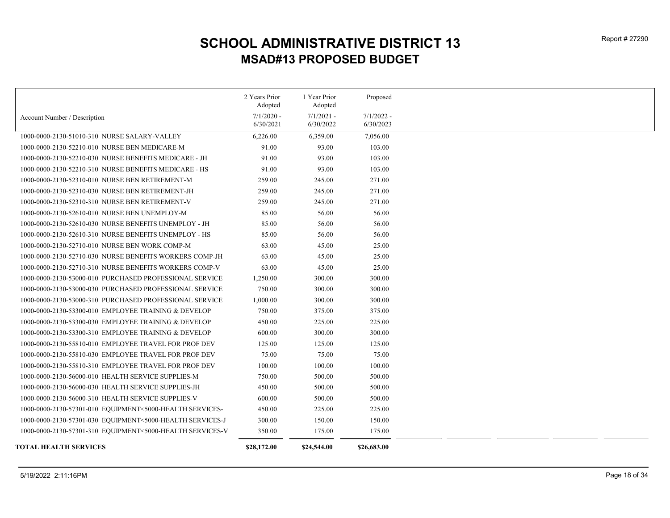|                                                           | 2 Years Prior | 1 Year Prior | Proposed     |
|-----------------------------------------------------------|---------------|--------------|--------------|
|                                                           | Adopted       | Adopted      |              |
| Account Number / Description                              | $7/1/2020$ -  | $7/1/2021$ - | $7/1/2022$ - |
|                                                           | 6/30/2021     | 6/30/2022    | 6/30/2023    |
| 1000-0000-2130-51010-310 NURSE SALARY-VALLEY              | 6,226.00      | 6,359.00     | 7,056.00     |
| 1000-0000-2130-52210-010 NURSE BEN MEDICARE-M             | 91.00         | 93.00        | 103.00       |
| 1000-0000-2130-52210-030 NURSE BENEFITS MEDICARE - JH     | 91.00         | 93.00        | 103.00       |
| 1000-0000-2130-52210-310 NURSE BENEFITS MEDICARE - HS     | 91.00         | 93.00        | 103.00       |
| 1000-0000-2130-52310-010 NURSE BEN RETIREMENT-M           | 259.00        | 245.00       | 271.00       |
| 1000-0000-2130-52310-030 NURSE BEN RETIREMENT-JH          | 259.00        | 245.00       | 271.00       |
| 1000-0000-2130-52310-310 NURSE BEN RETIREMENT-V           | 259.00        | 245.00       | 271.00       |
| 1000-0000-2130-52610-010 NURSE BEN UNEMPLOY-M             | 85.00         | 56.00        | 56.00        |
| 1000-0000-2130-52610-030 NURSE BENEFITS UNEMPLOY - JH     | 85.00         | 56.00        | 56.00        |
| 1000-0000-2130-52610-310 NURSE BENEFITS UNEMPLOY - HS     | 85.00         | 56.00        | 56.00        |
| 1000-0000-2130-52710-010 NURSE BEN WORK COMP-M            | 63.00         | 45.00        | 25.00        |
| 1000-0000-2130-52710-030 NURSE BENEFITS WORKERS COMP-JH   | 63.00         | 45.00        | 25.00        |
| 1000-0000-2130-52710-310 NURSE BENEFITS WORKERS COMP-V    | 63.00         | 45.00        | 25.00        |
| 1000-0000-2130-53000-010 PURCHASED PROFESSIONAL SERVICE   | 1,250.00      | 300.00       | 300.00       |
| 1000-0000-2130-53000-030 PURCHASED PROFESSIONAL SERVICE   | 750.00        | 300.00       | 300.00       |
| 1000-0000-2130-53000-310 PURCHASED PROFESSIONAL SERVICE   | 1,000.00      | 300.00       | 300.00       |
| 1000-0000-2130-53300-010 EMPLOYEE TRAINING & DEVELOP      | 750.00        | 375.00       | 375.00       |
| 1000-0000-2130-53300-030 EMPLOYEE TRAINING & DEVELOP      | 450.00        | 225.00       | 225.00       |
| 1000-0000-2130-53300-310 EMPLOYEE TRAINING & DEVELOP      | 600.00        | 300.00       | 300.00       |
| 1000-0000-2130-55810-010 EMPLOYEE TRAVEL FOR PROF DEV     | 125.00        | 125.00       | 125.00       |
| 1000-0000-2130-55810-030 EMPLOYEE TRAVEL FOR PROF DEV     | 75.00         | 75.00        | 75.00        |
| 1000-0000-2130-55810-310 EMPLOYEE TRAVEL FOR PROF DEV     | 100.00        | 100.00       | 100.00       |
| 1000-0000-2130-56000-010 HEALTH SERVICE SUPPLIES-M        | 750.00        | 500.00       | 500.00       |
| 1000-0000-2130-56000-030 HEALTH SERVICE SUPPLIES-JH       | 450.00        | 500.00       | 500.00       |
| 1000-0000-2130-56000-310 HEALTH SERVICE SUPPLIES-V        | 600.00        | 500.00       | 500.00       |
| 1000-0000-2130-57301-010 EQUIPMENT<5000-HEALTH SERVICES-  | 450.00        | 225.00       | 225.00       |
| 1000-0000-2130-57301-030 EQUIPMENT<5000-HEALTH SERVICES-J | 300.00        | 150.00       | 150.00       |
| 1000-0000-2130-57301-310 EQUIPMENT<5000-HEALTH SERVICES-V | 350.00        | 175.00       | 175.00       |
| TOTAL HEALTH SERVICES                                     | \$28,172.00   | \$24,544.00  | \$26,683.00  |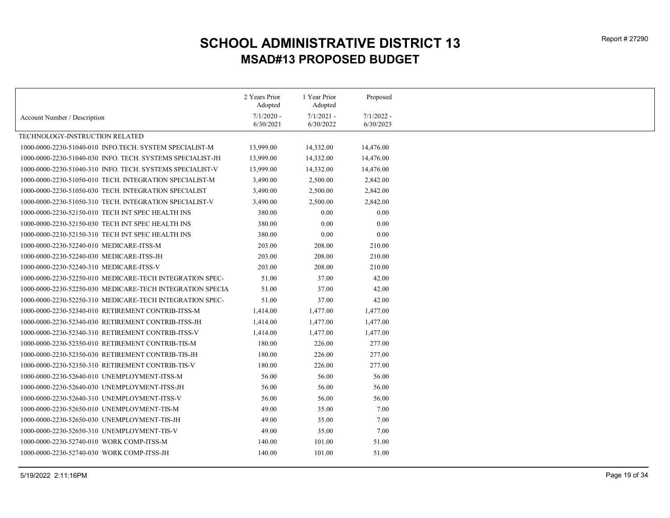|                                                            | 2 Years Prior | 1 Year Prior | Proposed     |
|------------------------------------------------------------|---------------|--------------|--------------|
|                                                            | Adopted       | Adopted      |              |
| Account Number / Description                               | $7/1/2020$ -  | $7/1/2021 -$ | $7/1/2022 -$ |
|                                                            | 6/30/2021     | 6/30/2022    | 6/30/2023    |
| TECHNOLOGY-INSTRUCTION RELATED                             |               |              |              |
| 1000-0000-2230-51040-010 INFO.TECH. SYSTEM SPECIALIST-M    | 13,999.00     | 14,332.00    | 14,476.00    |
| 1000-0000-2230-51040-030 INFO. TECH. SYSTEMS SPECIALIST-JH | 13,999.00     | 14,332.00    | 14,476.00    |
| 1000-0000-2230-51040-310 INFO. TECH. SYSTEMS SPECIALIST-V  | 13,999.00     | 14,332.00    | 14,476.00    |
| 1000-0000-2230-51050-010 TECH. INTEGRATION SPECIALIST-M    | 3,490.00      | 2,500.00     | 2,842.00     |
| 1000-0000-2230-51050-030 TECH. INTEGRATION SPECIALIST      | 3,490.00      | 2,500.00     | 2,842.00     |
| 1000-0000-2230-51050-310 TECH. INTEGRATION SPECIALIST-V    | 3,490.00      | 2,500.00     | 2,842.00     |
| 1000-0000-2230-52150-010 TECH INT SPEC HEALTH INS          | 380.00        | 0.00         | 0.00         |
| 1000-0000-2230-52150-030 TECH INT SPEC HEALTH INS          | 380.00        | 0.00         | 0.00         |
| 1000-0000-2230-52150-310 TECH INT SPEC HEALTH INS          | 380.00        | $0.00\,$     | 0.00         |
| 1000-0000-2230-52240-010 MEDICARE-ITSS-M                   | 203.00        | 208.00       | 210.00       |
| 1000-0000-2230-52240-030 MEDICARE-ITSS-JH                  | 203.00        | 208.00       | 210.00       |
| 1000-0000-2230-52240-310 MEDICARE-ITSS-V                   | 203.00        | 208.00       | 210.00       |
| 1000-0000-2230-52250-010 MEDICARE-TECH INTEGRATION SPEC-   | 51.00         | 37.00        | 42.00        |
| 1000-0000-2230-52250-030 MEDICARE-TECH INTEGRATION SPECIA  | 51.00         | 37.00        | 42.00        |
| 1000-0000-2230-52250-310 MEDICARE-TECH INTEGRATION SPEC-   | 51.00         | 37.00        | 42.00        |
| 1000-0000-2230-52340-010 RETIREMENT CONTRIB-ITSS-M         | 1,414.00      | 1,477.00     | 1,477.00     |
| 1000-0000-2230-52340-030 RETIREMENT CONTRIB-ITSS-JH        | 1,414.00      | 1,477.00     | 1,477.00     |
| 1000-0000-2230-52340-310 RETIREMENT CONTRIB-ITSS-V         | 1,414.00      | 1,477.00     | 1,477.00     |
| 1000-0000-2230-52350-010 RETIREMENT CONTRIB-TIS-M          | 180.00        | 226.00       | 277.00       |
| 1000-0000-2230-52350-030 RETIREMENT CONTRIB-TIS-JH         | 180.00        | 226.00       | 277.00       |
| 1000-0000-2230-52350-310 RETIREMENT CONTRIB-TIS-V          | 180.00        | 226.00       | 277.00       |
| 1000-0000-2230-52640-010 UNEMPLOYMENT-ITSS-M               | 56.00         | 56.00        | 56.00        |
| 1000-0000-2230-52640-030 UNEMPLOYMENT-ITSS-JH              | 56.00         | 56.00        | 56.00        |
| 1000-0000-2230-52640-310 UNEMPLOYMENT-ITSS-V               | 56.00         | 56.00        | 56.00        |
| 1000-0000-2230-52650-010 UNEMPLOYMENT-TIS-M                | 49.00         | 35.00        | 7.00         |
| 1000-0000-2230-52650-030 UNEMPLOYMENT-TIS-JH               | 49.00         | 35.00        | 7.00         |
| 1000-0000-2230-52650-310 UNEMPLOYMENT-TIS-V                | 49.00         | 35.00        | 7.00         |
| 1000-0000-2230-52740-010 WORK COMP-ITSS-M                  | 140.00        | 101.00       | 51.00        |
| 1000-0000-2230-52740-030 WORK COMP-ITSS-JH                 | 140.00        | 101.00       | 51.00        |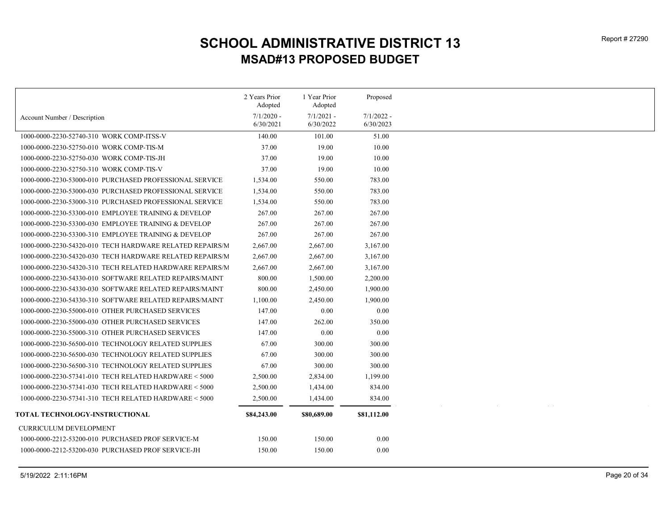|                                                          | 2 Years Prior<br>Adopted | 1 Year Prior<br>Adopted | Proposed     |
|----------------------------------------------------------|--------------------------|-------------------------|--------------|
| Account Number / Description                             | $7/1/2020$ -             | $7/1/2021$ -            | $7/1/2022$ - |
|                                                          | 6/30/2021                | 6/30/2022               | 6/30/2023    |
| 1000-0000-2230-52740-310 WORK COMP-ITSS-V                | 140.00                   | 101.00                  | 51.00        |
| 1000-0000-2230-52750-010 WORK COMP-TIS-M                 | 37.00                    | 19.00                   | 10.00        |
| 1000-0000-2230-52750-030 WORK COMP-TIS-JH                | 37.00                    | 19.00                   | 10.00        |
| 1000-0000-2230-52750-310 WORK COMP-TIS-V                 | 37.00                    | 19.00                   | 10.00        |
| 1000-0000-2230-53000-010 PURCHASED PROFESSIONAL SERVICE  | 1,534.00                 | 550.00                  | 783.00       |
| 1000-0000-2230-53000-030 PURCHASED PROFESSIONAL SERVICE  | 1,534.00                 | 550.00                  | 783.00       |
| 1000-0000-2230-53000-310 PURCHASED PROFESSIONAL SERVICE  | 1,534.00                 | 550.00                  | 783.00       |
| 1000-0000-2230-53300-010 EMPLOYEE TRAINING & DEVELOP     | 267.00                   | 267.00                  | 267.00       |
| 1000-0000-2230-53300-030 EMPLOYEE TRAINING & DEVELOP     | 267.00                   | 267.00                  | 267.00       |
| 1000-0000-2230-53300-310 EMPLOYEE TRAINING & DEVELOP     | 267.00                   | 267.00                  | 267.00       |
| 1000-0000-2230-54320-010 TECH HARDWARE RELATED REPAIRS/M | 2,667.00                 | 2,667.00                | 3,167.00     |
| 1000-0000-2230-54320-030 TECH HARDWARE RELATED REPAIRS/M | 2,667.00                 | 2,667.00                | 3,167.00     |
| 1000-0000-2230-54320-310 TECH RELATED HARDWARE REPAIRS/M | 2,667.00                 | 2,667.00                | 3,167.00     |
| 1000-0000-2230-54330-010 SOFTWARE RELATED REPAIRS/MAINT  | 800.00                   | 1,500.00                | 2,200.00     |
| 1000-0000-2230-54330-030 SOFTWARE RELATED REPAIRS/MAINT  | 800.00                   | 2,450.00                | 1,900.00     |
| 1000-0000-2230-54330-310 SOFTWARE RELATED REPAIRS/MAINT  | 1,100.00                 | 2,450.00                | 1,900.00     |
| 1000-0000-2230-55000-010 OTHER PURCHASED SERVICES        | 147.00                   | $0.00\,$                | 0.00         |
| 1000-0000-2230-55000-030 OTHER PURCHASED SERVICES        | 147.00                   | 262.00                  | 350.00       |
| 1000-0000-2230-55000-310 OTHER PURCHASED SERVICES        | 147.00                   | $0.00\,$                | 0.00         |
| 1000-0000-2230-56500-010 TECHNOLOGY RELATED SUPPLIES     | 67.00                    | 300.00                  | 300.00       |
| 1000-0000-2230-56500-030 TECHNOLOGY RELATED SUPPLIES     | 67.00                    | 300.00                  | 300.00       |
| 1000-0000-2230-56500-310 TECHNOLOGY RELATED SUPPLIES     | 67.00                    | 300.00                  | 300.00       |
| 1000-0000-2230-57341-010 TECH RELATED HARDWARE < 5000    | 2,500.00                 | 2,834.00                | 1,199.00     |
| 1000-0000-2230-57341-030 TECH RELATED HARDWARE < 5000    | 2,500.00                 | 1,434.00                | 834.00       |
| 1000-0000-2230-57341-310 TECH RELATED HARDWARE < 5000    | 2,500.00                 | 1,434.00                | 834.00       |
| TOTAL TECHNOLOGY-INSTRUCTIONAL                           | \$84,243.00              | \$80,689.00             | \$81,112.00  |
| <b>CURRICULUM DEVELOPMENT</b>                            |                          |                         |              |
| 1000-0000-2212-53200-010 PURCHASED PROF SERVICE-M        | 150.00                   | 150.00                  | 0.00         |
| 1000-0000-2212-53200-030 PURCHASED PROF SERVICE-JH       | 150.00                   | 150.00                  | 0.00         |
|                                                          |                          |                         |              |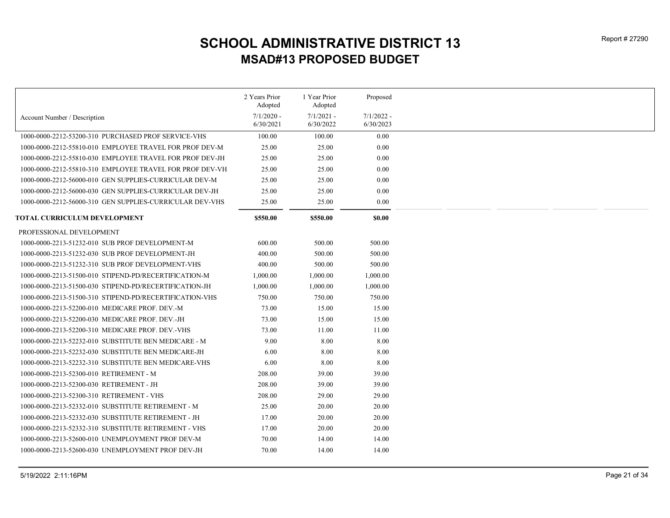|                                                          | 2 Years Prior<br>Adopted | 1 Year Prior<br>Adopted | Proposed     |
|----------------------------------------------------------|--------------------------|-------------------------|--------------|
| Account Number / Description                             | $7/1/2020$ -             | $7/1/2021$ -            | $7/1/2022 -$ |
|                                                          | 6/30/2021                | 6/30/2022               | 6/30/2023    |
| 1000-0000-2212-53200-310 PURCHASED PROF SERVICE-VHS      | 100.00                   | 100.00                  | 0.00         |
| 1000-0000-2212-55810-010 EMPLOYEE TRAVEL FOR PROF DEV-M  | 25.00                    | 25.00                   | 0.00         |
| 1000-0000-2212-55810-030 EMPLOYEE TRAVEL FOR PROF DEV-JH | 25.00                    | 25.00                   | 0.00         |
| 1000-0000-2212-55810-310 EMPLOYEE TRAVEL FOR PROF DEV-VH | 25.00                    | 25.00                   | 0.00         |
| 1000-0000-2212-56000-010 GEN SUPPLIES-CURRICULAR DEV-M   | 25.00                    | 25.00                   | 0.00         |
| 1000-0000-2212-56000-030 GEN SUPPLIES-CURRICULAR DEV-JH  | 25.00                    | 25.00                   | 0.00         |
| 1000-0000-2212-56000-310 GEN SUPPLIES-CURRICULAR DEV-VHS | 25.00                    | 25.00                   | 0.00         |
| TOTAL CURRICULUM DEVELOPMENT                             | \$550.00                 | \$550.00                | \$0.00       |
| PROFESSIONAL DEVELOPMENT                                 |                          |                         |              |
| 1000-0000-2213-51232-010 SUB PROF DEVELOPMENT-M          | 600.00                   | 500.00                  | 500.00       |
| 1000-0000-2213-51232-030 SUB PROF DEVELOPMENT-JH         | 400.00                   | 500.00                  | 500.00       |
| 1000-0000-2213-51232-310 SUB PROF DEVELOPMENT-VHS        | 400.00                   | 500.00                  | 500.00       |
| 1000-0000-2213-51500-010 STIPEND-PD/RECERTIFICATION-M    | 1,000.00                 | 1,000.00                | 1,000.00     |
| 1000-0000-2213-51500-030 STIPEND-PD/RECERTIFICATION-JH   | 1,000.00                 | 1,000.00                | 1,000.00     |
| 1000-0000-2213-51500-310 STIPEND-PD/RECERTIFICATION-VHS  | 750.00                   | 750.00                  | 750.00       |
| 1000-0000-2213-52200-010 MEDICARE PROF. DEV.-M           | 73.00                    | 15.00                   | 15.00        |
| 1000-0000-2213-52200-030 MEDICARE PROF. DEV.-JH          | 73.00                    | 15.00                   | 15.00        |
| 1000-0000-2213-52200-310 MEDICARE PROF. DEV.-VHS         | 73.00                    | 11.00                   | 11.00        |
| 1000-0000-2213-52232-010 SUBSTITUTE BEN MEDICARE - M     | 9.00                     | 8.00                    | 8.00         |
| 1000-0000-2213-52232-030 SUBSTITUTE BEN MEDICARE-JH      | 6.00                     | 8.00                    | 8.00         |
| 1000-0000-2213-52232-310 SUBSTITUTE BEN MEDICARE-VHS     | 6.00                     | 8.00                    | 8.00         |
| 1000-0000-2213-52300-010 RETIREMENT - M                  | 208.00                   | 39.00                   | 39.00        |
| 1000-0000-2213-52300-030 RETIREMENT - JH                 | 208.00                   | 39.00                   | 39.00        |
| 1000-0000-2213-52300-310 RETIREMENT - VHS                | 208.00                   | 29.00                   | 29.00        |
| 1000-0000-2213-52332-010 SUBSTITUTE RETIREMENT - M       | 25.00                    | 20.00                   | 20.00        |
| 1000-0000-2213-52332-030 SUBSTITUTE RETIREMENT - JH      | 17.00                    | 20.00                   | 20.00        |
| 1000-0000-2213-52332-310 SUBSTITUTE RETIREMENT - VHS     | 17.00                    | 20.00                   | 20.00        |
| 1000-0000-2213-52600-010 UNEMPLOYMENT PROF DEV-M         | 70.00                    | 14.00                   | 14.00        |
| 1000-0000-2213-52600-030 UNEMPLOYMENT PROF DEV-JH        | 70.00                    | 14.00                   | 14.00        |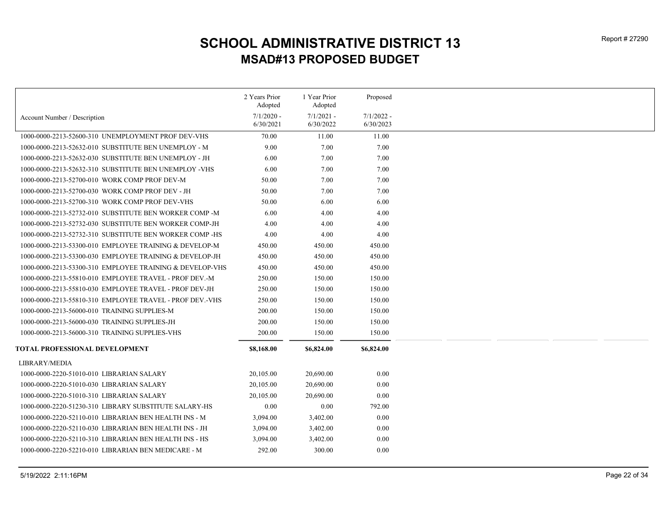|                                                          | 2 Years Prior<br>Adopted  | 1 Year Prior<br>Adopted   | Proposed                  |
|----------------------------------------------------------|---------------------------|---------------------------|---------------------------|
| Account Number / Description                             | $7/1/2020$ -<br>6/30/2021 | $7/1/2021$ -<br>6/30/2022 | $7/1/2022$ -<br>6/30/2023 |
| 1000-0000-2213-52600-310 UNEMPLOYMENT PROF DEV-VHS       | 70.00                     | 11.00                     | 11.00                     |
| 1000-0000-2213-52632-010 SUBSTITUTE BEN UNEMPLOY - M     | 9.00                      | 7.00                      | 7.00                      |
| 1000-0000-2213-52632-030 SUBSTITUTE BEN UNEMPLOY - JH    | 6.00                      | 7.00                      | 7.00                      |
| 1000-0000-2213-52632-310 SUBSTITUTE BEN UNEMPLOY -VHS    | 6.00                      | 7.00                      | 7.00                      |
| 1000-0000-2213-52700-010 WORK COMP PROF DEV-M            | 50.00                     | 7.00                      | 7.00                      |
| 1000-0000-2213-52700-030 WORK COMP PROF DEV - JH         | 50.00                     | 7.00                      | 7.00                      |
| 1000-0000-2213-52700-310 WORK COMP PROF DEV-VHS          | 50.00                     | 6.00                      | 6.00                      |
| 1000-0000-2213-52732-010 SUBSTITUTE BEN WORKER COMP-M    | 6.00                      | 4.00                      | 4.00                      |
| 1000-0000-2213-52732-030 SUBSTITUTE BEN WORKER COMP-JH   | 4.00                      | 4.00                      | 4.00                      |
| 1000-0000-2213-52732-310 SUBSTITUTE BEN WORKER COMP-HS   | 4.00                      | 4.00                      | 4.00                      |
| 1000-0000-2213-53300-010 EMPLOYEE TRAINING & DEVELOP-M   | 450.00                    | 450.00                    | 450.00                    |
| 1000-0000-2213-53300-030 EMPLOYEE TRAINING & DEVELOP-JH  | 450.00                    | 450.00                    | 450.00                    |
| 1000-0000-2213-53300-310 EMPLOYEE TRAINING & DEVELOP-VHS | 450.00                    | 450.00                    | 450.00                    |
| 1000-0000-2213-55810-010 EMPLOYEE TRAVEL - PROF DEV.-M   | 250.00                    | 150.00                    | 150.00                    |
| 1000-0000-2213-55810-030 EMPLOYEE TRAVEL - PROF DEV-JH   | 250.00                    | 150.00                    | 150.00                    |
| 1000-0000-2213-55810-310 EMPLOYEE TRAVEL - PROF DEV.-VHS | 250.00                    | 150.00                    | 150.00                    |
| 1000-0000-2213-56000-010 TRAINING SUPPLIES-M             | 200.00                    | 150.00                    | 150.00                    |
| 1000-0000-2213-56000-030 TRAINING SUPPLIES-JH            | 200.00                    | 150.00                    | 150.00                    |
| 1000-0000-2213-56000-310 TRAINING SUPPLIES-VHS           | 200.00                    | 150.00                    | 150.00                    |
| TOTAL PROFESSIONAL DEVELOPMENT                           | \$8,168.00                | \$6,824.00                | \$6,824.00                |
| LIBRARY/MEDIA                                            |                           |                           |                           |
| 1000-0000-2220-51010-010 LIBRARIAN SALARY                | 20,105.00                 | 20,690.00                 | $0.00\,$                  |
| 1000-0000-2220-51010-030 LIBRARIAN SALARY                | 20,105.00                 | 20,690.00                 | 0.00                      |
| 1000-0000-2220-51010-310 LIBRARIAN SALARY                | 20,105.00                 | 20,690.00                 | 0.00                      |
| 1000-0000-2220-51230-310 LIBRARY SUBSTITUTE SALARY-HS    | 0.00                      | 0.00                      | 792.00                    |
| 1000-0000-2220-52110-010 LIBRARIAN BEN HEALTH INS - M    | 3,094.00                  | 3,402.00                  | 0.00                      |
| 1000-0000-2220-52110-030 LIBRARIAN BEN HEALTH INS - JH   | 3,094.00                  | 3,402.00                  | 0.00                      |
| 1000-0000-2220-52110-310 LIBRARIAN BEN HEALTH INS - HS   | 3,094.00                  | 3,402.00                  | 0.00                      |
| 1000-0000-2220-52210-010 LIBRARIAN BEN MEDICARE - M      | 292.00                    | 300.00                    | 0.00                      |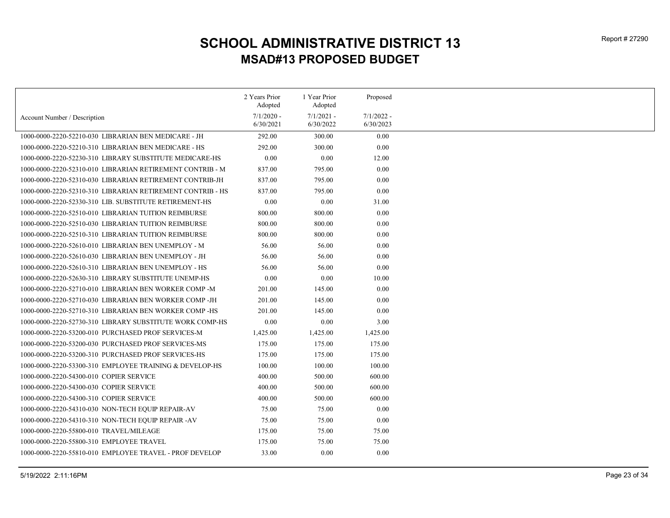|                                                            | 2 Years Prior             | 1 Year Prior              | Proposed                  |
|------------------------------------------------------------|---------------------------|---------------------------|---------------------------|
|                                                            | Adopted                   | Adopted                   |                           |
| Account Number / Description                               | $7/1/2020$ -<br>6/30/2021 | $7/1/2021$ -<br>6/30/2022 | $7/1/2022 -$<br>6/30/2023 |
| 1000-0000-2220-52210-030 LIBRARIAN BEN MEDICARE - JH       | 292.00                    | 300.00                    | 0.00                      |
| 1000-0000-2220-52210-310 LIBRARIAN BEN MEDICARE - HS       | 292.00                    | 300.00                    | 0.00                      |
| 1000-0000-2220-52230-310 LIBRARY SUBSTITUTE MEDICARE-HS    | 0.00                      | 0.00                      | 12.00                     |
| 1000-0000-2220-52310-010 LIBRARIAN RETIREMENT CONTRIB - M  | 837.00                    | 795.00                    | 0.00                      |
| 1000-0000-2220-52310-030 LIBRARIAN RETIREMENT CONTRIB-JH   | 837.00                    | 795.00                    | 0.00                      |
| 1000-0000-2220-52310-310 LIBRARIAN RETIREMENT CONTRIB - HS | 837.00                    | 795.00                    | 0.00                      |
| 1000-0000-2220-52330-310 LIB. SUBSTITUTE RETIREMENT-HS     | 0.00                      | 0.00                      | 31.00                     |
| 1000-0000-2220-52510-010 LIBRARIAN TUITION REIMBURSE       | 800.00                    | 800.00                    | 0.00                      |
| 1000-0000-2220-52510-030 LIBRARIAN TUITION REIMBURSE       | 800.00                    | 800.00                    | 0.00                      |
|                                                            |                           |                           |                           |
| 1000-0000-2220-52510-310 LIBRARIAN TUITION REIMBURSE       | 800.00                    | 800.00                    | 0.00                      |
| 1000-0000-2220-52610-010 LIBRARIAN BEN UNEMPLOY - M        | 56.00                     | 56.00                     | 0.00                      |
| 1000-0000-2220-52610-030 LIBRARIAN BEN UNEMPLOY - JH       | 56.00                     | 56.00                     | 0.00                      |
| 1000-0000-2220-52610-310 LIBRARIAN BEN UNEMPLOY - HS       | 56.00                     | 56.00                     | 0.00                      |
| 1000-0000-2220-52630-310 LIBRARY SUBSTITUTE UNEMP-HS       | 0.00                      | 0.00                      | 10.00                     |
| 1000-0000-2220-52710-010 LIBRARIAN BEN WORKER COMP -M      | 201.00                    | 145.00                    | 0.00                      |
| 1000-0000-2220-52710-030 LIBRARIAN BEN WORKER COMP-JH      | 201.00                    | 145.00                    | 0.00                      |
| 1000-0000-2220-52710-310 LIBRARIAN BEN WORKER COMP-HS      | 201.00                    | 145.00                    | 0.00                      |
| 1000-0000-2220-52730-310 LIBRARY SUBSTITUTE WORK COMP-HS   | $0.00\,$                  | 0.00                      | 3.00                      |
| 1000-0000-2220-53200-010 PURCHASED PROF SERVICES-M         | 1,425.00                  | 1,425.00                  | 1,425.00                  |
| 1000-0000-2220-53200-030 PURCHASED PROF SERVICES-MS        | 175.00                    | 175.00                    | 175.00                    |
| 1000-0000-2220-53200-310 PURCHASED PROF SERVICES-HS        | 175.00                    | 175.00                    | 175.00                    |
| 1000-0000-2220-53300-310 EMPLOYEE TRAINING & DEVELOP-HS    | 100.00                    | 100.00                    | 100.00                    |
| 1000-0000-2220-54300-010 COPIER SERVICE                    | 400.00                    | 500.00                    | 600.00                    |
| 1000-0000-2220-54300-030 COPIER SERVICE                    | 400.00                    | 500.00                    | 600.00                    |
| 1000-0000-2220-54300-310 COPIER SERVICE                    | 400.00                    | 500.00                    | 600.00                    |
| 1000-0000-2220-54310-030 NON-TECH EQUIP REPAIR-AV          | 75.00                     | 75.00                     | 0.00                      |
| 1000-0000-2220-54310-310 NON-TECH EQUIP REPAIR -AV         | 75.00                     | 75.00                     | 0.00                      |
| 1000-0000-2220-55800-010 TRAVEL/MILEAGE                    | 175.00                    | 75.00                     | 75.00                     |
| 1000-0000-2220-55800-310 EMPLOYEE TRAVEL                   | 175.00                    | 75.00                     | 75.00                     |
| 1000-0000-2220-55810-010 EMPLOYEE TRAVEL - PROF DEVELOP    | 33.00                     | 0.00                      | 0.00                      |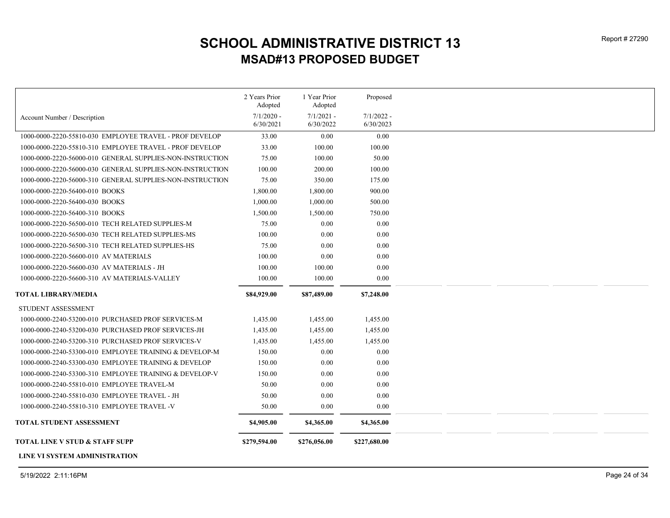|                                                           | 2 Years Prior<br>Adopted | 1 Year Prior<br>Adopted | Proposed     |
|-----------------------------------------------------------|--------------------------|-------------------------|--------------|
| Account Number / Description                              | $7/1/2020$ -             | $7/1/2021$ -            | $7/1/2022 -$ |
|                                                           | 6/30/2021                | 6/30/2022               | 6/30/2023    |
| 1000-0000-2220-55810-030 EMPLOYEE TRAVEL - PROF DEVELOP   | 33.00                    | 0.00                    | 0.00         |
| 1000-0000-2220-55810-310 EMPLOYEE TRAVEL - PROF DEVELOP   | 33.00                    | 100.00                  | 100.00       |
| 1000-0000-2220-56000-010 GENERAL SUPPLIES-NON-INSTRUCTION | 75.00                    | 100.00                  | 50.00        |
| 1000-0000-2220-56000-030 GENERAL SUPPLIES-NON-INSTRUCTION | 100.00                   | 200.00                  | 100.00       |
| 1000-0000-2220-56000-310 GENERAL SUPPLIES-NON-INSTRUCTION | 75.00                    | 350.00                  | 175.00       |
| 1000-0000-2220-56400-010 BOOKS                            | 1,800.00                 | 1,800.00                | 900.00       |
| 1000-0000-2220-56400-030 BOOKS                            | 1,000.00                 | 1,000.00                | 500.00       |
| 1000-0000-2220-56400-310 BOOKS                            | 1,500.00                 | 1,500.00                | 750.00       |
| 1000-0000-2220-56500-010 TECH RELATED SUPPLIES-M          | 75.00                    | 0.00                    | 0.00         |
| 1000-0000-2220-56500-030 TECH RELATED SUPPLIES-MS         | 100.00                   | 0.00                    | 0.00         |
| 1000-0000-2220-56500-310 TECH RELATED SUPPLIES-HS         | 75.00                    | 0.00                    | 0.00         |
| 1000-0000-2220-56600-010 AV MATERIALS                     | 100.00                   | 0.00                    | 0.00         |
| 1000-0000-2220-56600-030 AV MATERIALS - JH                | 100.00                   | 100.00                  | 0.00         |
| 1000-0000-2220-56600-310 AV MATERIALS-VALLEY              | 100.00                   | 100.00                  | 0.00         |
| <b>TOTAL LIBRARY/MEDIA</b>                                | \$84,929.00              | \$87,489.00             | \$7,248.00   |
| STUDENT ASSESSMENT                                        |                          |                         |              |
| 1000-0000-2240-53200-010 PURCHASED PROF SERVICES-M        | 1,435.00                 | 1,455.00                | 1,455.00     |
| 1000-0000-2240-53200-030 PURCHASED PROF SERVICES-JH       | 1,435.00                 | 1,455.00                | 1,455.00     |
| 1000-0000-2240-53200-310 PURCHASED PROF SERVICES-V        | 1,435.00                 | 1,455.00                | 1,455.00     |
| 1000-0000-2240-53300-010 EMPLOYEE TRAINING & DEVELOP-M    | 150.00                   | 0.00                    | 0.00         |
| 1000-0000-2240-53300-030 EMPLOYEE TRAINING & DEVELOP      | 150.00                   | 0.00                    | 0.00         |
| 1000-0000-2240-53300-310 EMPLOYEE TRAINING & DEVELOP-V    | 150.00                   | 0.00                    | 0.00         |
| 1000-0000-2240-55810-010 EMPLOYEE TRAVEL-M                | 50.00                    | 0.00                    | 0.00         |
| 1000-0000-2240-55810-030 EMPLOYEE TRAVEL - JH             | 50.00                    | 0.00                    | 0.00         |
| 1000-0000-2240-55810-310 EMPLOYEE TRAVEL -V               | 50.00                    | $0.00\,$                | 0.00         |
| TOTAL STUDENT ASSESSMENT                                  | \$4,905.00               | \$4,365.00              | \$4,365.00   |
| TOTAL LINE V STUD & STAFF SUPP                            | \$279,594.00             | \$276,056.00            | \$227,680.00 |
|                                                           |                          |                         |              |

LINE VI SYSTEM ADMINISTRATION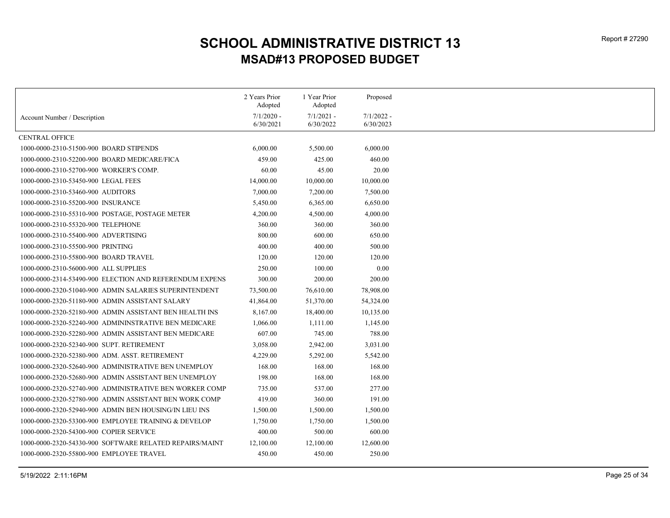|                                                         | 2 Years Prior<br>Adopted  | 1 Year Prior<br>Adopted   | Proposed     |
|---------------------------------------------------------|---------------------------|---------------------------|--------------|
|                                                         |                           |                           | $7/1/2022$ - |
| Account Number / Description                            | $7/1/2020$ -<br>6/30/2021 | $7/1/2021$ -<br>6/30/2022 | 6/30/2023    |
| <b>CENTRAL OFFICE</b>                                   |                           |                           |              |
| 1000-0000-2310-51500-900 BOARD STIPENDS                 | 6,000.00                  | 5,500.00                  | 6,000.00     |
| 1000-0000-2310-52200-900 BOARD MEDICARE/FICA            | 459.00                    | 425.00                    | 460.00       |
| 1000-0000-2310-52700-900 WORKER'S COMP.                 | 60.00                     | 45.00                     | 20.00        |
| 1000-0000-2310-53450-900 LEGAL FEES                     | 14,000.00                 | 10,000.00                 | 10,000.00    |
| 1000-0000-2310-53460-900 AUDITORS                       | 7,000.00                  | 7,200.00                  | 7,500.00     |
| 1000-0000-2310-55200-900 INSURANCE                      | 5,450.00                  | 6,365.00                  | 6,650.00     |
| 1000-0000-2310-55310-900 POSTAGE, POSTAGE METER         | 4,200.00                  | 4,500.00                  | 4,000.00     |
| 1000-0000-2310-55320-900 TELEPHONE                      | 360.00                    | 360.00                    | 360.00       |
| 1000-0000-2310-55400-900 ADVERTISING                    | 800.00                    | 600.00                    | 650.00       |
| 1000-0000-2310-55500-900 PRINTING                       | 400.00                    | 400.00                    | 500.00       |
| 1000-0000-2310-55800-900 BOARD TRAVEL                   | 120.00                    | 120.00                    | 120.00       |
| 1000-0000-2310-56000-900 ALL SUPPLIES                   | 250.00                    | 100.00                    | 0.00         |
| 1000-0000-2314-53490-900 ELECTION AND REFERENDUM EXPENS | 300.00                    | 200.00                    | 200.00       |
| 1000-0000-2320-51040-900 ADMIN SALARIES SUPERINTENDENT  | 73,500.00                 | 76,610.00                 | 78,908.00    |
| 1000-0000-2320-51180-900 ADMIN ASSISTANT SALARY         | 41,864.00                 | 51,370.00                 | 54,324.00    |
| 1000-0000-2320-52180-900 ADMIN ASSISTANT BEN HEALTH INS | 8,167.00                  | 18,400.00                 | 10,135.00    |
| 1000-0000-2320-52240-900 ADMININSTRATIVE BEN MEDICARE   | 1,066.00                  | 1,111.00                  | 1,145.00     |
| 1000-0000-2320-52280-900 ADMIN ASSISTANT BEN MEDICARE   | 607.00                    | 745.00                    | 788.00       |
| 1000-0000-2320-52340-900 SUPT. RETIREMENT               | 3,058.00                  | 2,942.00                  | 3,031.00     |
| 1000-0000-2320-52380-900 ADM. ASST. RETIREMENT          | 4,229.00                  | 5,292.00                  | 5,542.00     |
| 1000-0000-2320-52640-900 ADMINISTRATIVE BEN UNEMPLOY    | 168.00                    | 168.00                    | 168.00       |
| 1000-0000-2320-52680-900 ADMIN ASSISTANT BEN UNEMPLOY   | 198.00                    | 168.00                    | 168.00       |
| 1000-0000-2320-52740-900 ADMINISTRATIVE BEN WORKER COMP | 735.00                    | 537.00                    | 277.00       |
| 1000-0000-2320-52780-900 ADMIN ASSISTANT BEN WORK COMP  | 419.00                    | 360.00                    | 191.00       |
| 1000-0000-2320-52940-900 ADMIN BEN HOUSING/IN LIEU INS  | 1,500.00                  | 1,500.00                  | 1,500.00     |
| 1000-0000-2320-53300-900 EMPLOYEE TRAINING & DEVELOP    | 1,750.00                  | 1,750.00                  | 1,500.00     |
| 1000-0000-2320-54300-900 COPIER SERVICE                 | 400.00                    | 500.00                    | 600.00       |
| 1000-0000-2320-54330-900 SOFTWARE RELATED REPAIRS/MAINT | 12,100.00                 | 12,100.00                 | 12,600.00    |
| 1000-0000-2320-55800-900 EMPLOYEE TRAVEL                | 450.00                    | 450.00                    | 250.00       |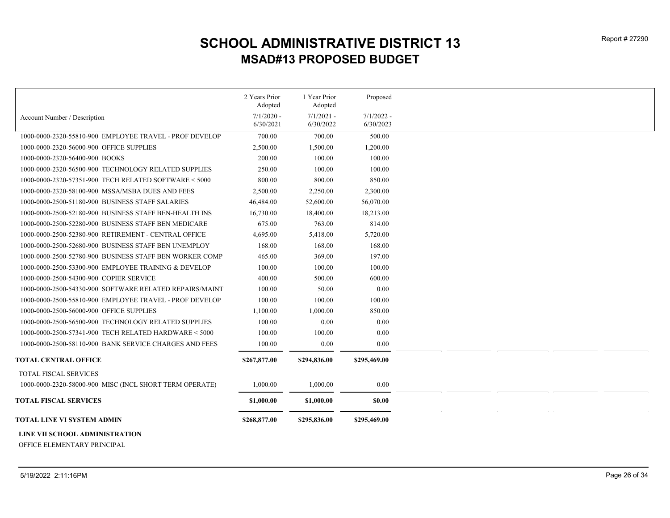|                                                         | 2 Years Prior             | 1 Year Prior              | Proposed                  |
|---------------------------------------------------------|---------------------------|---------------------------|---------------------------|
|                                                         | Adopted                   | Adopted                   |                           |
| Account Number / Description                            | $7/1/2020$ -<br>6/30/2021 | $7/1/2021 -$<br>6/30/2022 | $7/1/2022 -$<br>6/30/2023 |
| 1000-0000-2320-55810-900 EMPLOYEE TRAVEL - PROF DEVELOP | 700.00                    | 700.00                    | 500.00                    |
| 1000-0000-2320-56000-900 OFFICE SUPPLIES                | 2,500.00                  | 1,500.00                  | 1,200.00                  |
| 1000-0000-2320-56400-900 BOOKS                          | 200.00                    | 100.00                    | 100.00                    |
| 1000-0000-2320-56500-900 TECHNOLOGY RELATED SUPPLIES    | 250.00                    | 100.00                    | 100.00                    |
| 1000-0000-2320-57351-900 TECH RELATED SOFTWARE < 5000   | 800.00                    | 800.00                    | 850.00                    |
|                                                         |                           |                           |                           |
| 1000-0000-2320-58100-900 MSSA/MSBA DUES AND FEES        | 2,500.00                  | 2,250.00                  | 2,300.00                  |
| 1000-0000-2500-51180-900 BUSINESS STAFF SALARIES        | 46,484.00                 | 52,600.00                 | 56,070.00                 |
| 1000-0000-2500-52180-900 BUSINESS STAFF BEN-HEALTH INS  | 16,730.00                 | 18,400.00                 | 18,213.00                 |
| 1000-0000-2500-52280-900 BUSINESS STAFF BEN MEDICARE    | 675.00                    | 763.00                    | 814.00                    |
| 1000-0000-2500-52380-900 RETIREMENT - CENTRAL OFFICE    | 4,695.00                  | 5,418.00                  | 5,720.00                  |
| 1000-0000-2500-52680-900 BUSINESS STAFF BEN UNEMPLOY    | 168.00                    | 168.00                    | 168.00                    |
| 1000-0000-2500-52780-900 BUSINESS STAFF BEN WORKER COMP | 465.00                    | 369.00                    | 197.00                    |
| 1000-0000-2500-53300-900 EMPLOYEE TRAINING & DEVELOP    | 100.00                    | 100.00                    | 100.00                    |
| 1000-0000-2500-54300-900 COPIER SERVICE                 | 400.00                    | 500.00                    | 600.00                    |
| 1000-0000-2500-54330-900 SOFTWARE RELATED REPAIRS/MAINT | 100.00                    | 50.00                     | 0.00                      |
| 1000-0000-2500-55810-900 EMPLOYEE TRAVEL - PROF DEVELOP | 100.00                    | 100.00                    | 100.00                    |
| 1000-0000-2500-56000-900 OFFICE SUPPLIES                | 1,100.00                  | 1,000.00                  | 850.00                    |
| 1000-0000-2500-56500-900 TECHNOLOGY RELATED SUPPLIES    | 100.00                    | 0.00                      | 0.00                      |
| 1000-0000-2500-57341-900 TECH RELATED HARDWARE < 5000   | 100.00                    | 100.00                    | 0.00                      |
| 1000-0000-2500-58110-900 BANK SERVICE CHARGES AND FEES  | 100.00                    | $0.00\,$                  | 0.00                      |
| <b>TOTAL CENTRAL OFFICE</b>                             | \$267,877.00              | \$294,836.00              | \$295,469.00              |
| TOTAL FISCAL SERVICES                                   |                           |                           |                           |
| 1000-0000-2320-58000-900 MISC (INCL SHORT TERM OPERATE) | 1,000.00                  | 1,000.00                  | 0.00                      |
| <b>TOTAL FISCAL SERVICES</b>                            | \$1,000.00                | \$1,000.00                | \$0.00                    |
| TOTAL LINE VI SYSTEM ADMIN                              | \$268,877.00              | \$295,836.00              | \$295,469.00              |
| LINE VII SCHOOL ADMINISTRATION                          |                           |                           |                           |

OFFICE ELEMENTARY PRINCIPAL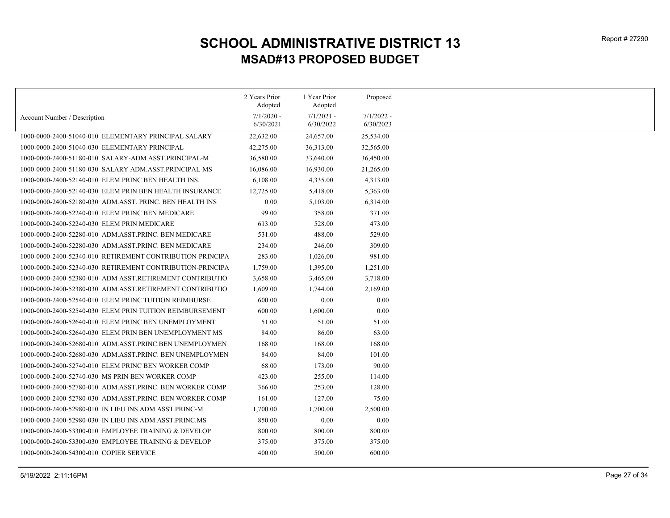|                                                           | 2 Years Prior             | 1 Year Prior              | Proposed                  |
|-----------------------------------------------------------|---------------------------|---------------------------|---------------------------|
|                                                           | Adopted                   | Adopted                   |                           |
| Account Number / Description                              | $7/1/2020$ -<br>6/30/2021 | $7/1/2021$ -<br>6/30/2022 | $7/1/2022 -$<br>6/30/2023 |
| 1000-0000-2400-51040-010 ELEMENTARY PRINCIPAL SALARY      | 22,632.00                 | 24,657.00                 | 25,534.00                 |
| 1000-0000-2400-51040-030 ELEMENTARY PRINCIPAL             | 42,275.00                 | 36,313.00                 | 32,565.00                 |
| 1000-0000-2400-51180-010 SALARY-ADM.ASST.PRINCIPAL-M      | 36,580.00                 | 33,640.00                 | 36,450.00                 |
| 1000-0000-2400-51180-030 SALARY ADM.ASST.PRINCIPAL-MS     | 16,086.00                 | 16,930.00                 | 21,265.00                 |
| 1000-0000-2400-52140-010 ELEM PRINC BEN HEALTH INS.       | 6,108.00                  | 4,335.00                  | 4,313.00                  |
|                                                           |                           |                           |                           |
| 1000-0000-2400-52140-030 ELEM PRIN BEN HEALTH INSURANCE   | 12,725.00                 | 5,418.00                  | 5,363.00                  |
| 1000-0000-2400-52180-030 ADM.ASST. PRINC. BEN HEALTH INS  | 0.00                      | 5,103.00                  | 6,314.00                  |
| 1000-0000-2400-52240-010 ELEM PRINC BEN MEDICARE          | 99.00                     | 358.00                    | 371.00                    |
| 1000-0000-2400-52240-030 ELEM PRIN MEDICARE               | 613.00                    | 528.00                    | 473.00                    |
| 1000-0000-2400-52280-010 ADM.ASST.PRINC. BEN MEDICARE     | 531.00                    | 488.00                    | 529.00                    |
| 1000-0000-2400-52280-030 ADM.ASST.PRINC. BEN MEDICARE     | 234.00                    | 246.00                    | 309.00                    |
| 1000-0000-2400-52340-010 RETIREMENT CONTRIBUTION-PRINCIPA | 283.00                    | 1,026.00                  | 981.00                    |
| 1000-0000-2400-52340-030 RETIREMENT CONTRIBUTION-PRINCIPA | 1,759.00                  | 1,395.00                  | 1,251.00                  |
| 1000-0000-2400-52380-010 ADM ASST.RETIREMENT CONTRIBUTIO  | 3,658.00                  | 3,465.00                  | 3,718.00                  |
| 1000-0000-2400-52380-030 ADM.ASST.RETIREMENT CONTRIBUTIO  | 1,609.00                  | 1,744.00                  | 2,169.00                  |
| 1000-0000-2400-52540-010 ELEM PRINC TUITION REIMBURSE     | 600.00                    | 0.00                      | 0.00                      |
| 1000-0000-2400-52540-030 ELEM PRIN TUITION REIMBURSEMENT  | 600.00                    | 1,600.00                  | 0.00                      |
| 1000-0000-2400-52640-010 ELEM PRINC BEN UNEMPLOYMENT      | 51.00                     | 51.00                     | 51.00                     |
| 1000-0000-2400-52640-030 ELEM PRIN BEN UNEMPLOYMENT MS    | 84.00                     | 86.00                     | 63.00                     |
| 1000-0000-2400-52680-010 ADM.ASST.PRINC.BEN UNEMPLOYMEN   | 168.00                    | 168.00                    | 168.00                    |
| 1000-0000-2400-52680-030 ADM.ASST.PRINC. BEN UNEMPLOYMEN  | 84.00                     | 84.00                     | 101.00                    |
| 1000-0000-2400-52740-010 ELEM PRINC BEN WORKER COMP       | 68.00                     | 173.00                    | 90.00                     |
|                                                           |                           |                           |                           |
| 1000-0000-2400-52740-030 MS PRIN BEN WORKER COMP          | 423.00                    | 255.00                    | 114.00                    |
| 1000-0000-2400-52780-010 ADM.ASST.PRINC. BEN WORKER COMP  | 366.00                    | 253.00                    | 128.00                    |
| 1000-0000-2400-52780-030 ADM.ASST.PRINC. BEN WORKER COMP  | 161.00                    | 127.00                    | 75.00                     |
| 1000-0000-2400-52980-010 IN LIEU INS ADM.ASST.PRINC-M     | 1,700.00                  | 1,700.00                  | 2,500.00                  |
| 1000-0000-2400-52980-030 IN LIEU INS ADM.ASST.PRINC.MS    | 850.00                    | 0.00                      | 0.00                      |
| 1000-0000-2400-53300-010 EMPLOYEE TRAINING & DEVELOP      | 800.00                    | 800.00                    | 800.00                    |
| 1000-0000-2400-53300-030 EMPLOYEE TRAINING & DEVELOP      | 375.00                    | 375.00                    | 375.00                    |
| 1000-0000-2400-54300-010 COPIER SERVICE                   | 400.00                    | 500.00                    | 600.00                    |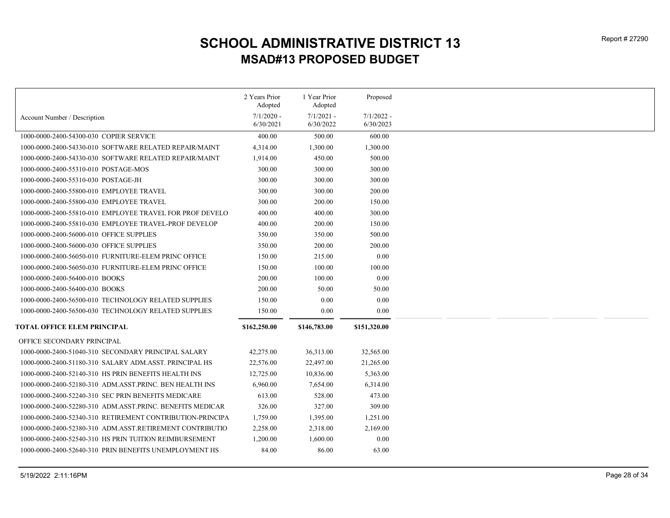|                                                           | 2 Years Prior | 1 Year Prior | Proposed     |
|-----------------------------------------------------------|---------------|--------------|--------------|
|                                                           | Adopted       | Adopted      |              |
| Account Number / Description                              | $7/1/2020$ -  | $7/1/2021$ - | $7/1/2022 -$ |
|                                                           | 6/30/2021     | 6/30/2022    | 6/30/2023    |
| 1000-0000-2400-54300-030 COPIER SERVICE                   | 400.00        | 500.00       | 600.00       |
| 1000-0000-2400-54330-010 SOFTWARE RELATED REPAIR/MAINT    | 4,314.00      | 1,300.00     | 1,300.00     |
| 1000-0000-2400-54330-030 SOFTWARE RELATED REPAIR/MAINT    | 1,914.00      | 450.00       | 500.00       |
| 1000-0000-2400-55310-010 POSTAGE-MOS                      | 300.00        | 300.00       | 300.00       |
| 1000-0000-2400-55310-030 POSTAGE-JH                       | 300.00        | 300.00       | 300.00       |
| 1000-0000-2400-55800-010 EMPLOYEE TRAVEL                  | 300.00        | 300.00       | 200.00       |
| 1000-0000-2400-55800-030 EMPLOYEE TRAVEL                  | 300.00        | 200.00       | 150.00       |
| 1000-0000-2400-55810-010 EMPLOYEE TRAVEL FOR PROF DEVELO  | 400.00        | 400.00       | 300.00       |
| 1000-0000-2400-55810-030 EMPLOYEE TRAVEL-PROF DEVELOP     | 400.00        | 200.00       | 150.00       |
| 1000-0000-2400-56000-010 OFFICE SUPPLIES                  | 350.00        | 350.00       | 500.00       |
| 1000-0000-2400-56000-030 OFFICE SUPPLIES                  | 350.00        | 200.00       | 200.00       |
| 1000-0000-2400-56050-010 FURNITURE-ELEM PRINC OFFICE      | 150.00        | 215.00       | 0.00         |
| 1000-0000-2400-56050-030 FURNITURE-ELEM PRINC OFFICE      | 150.00        | 100.00       | 100.00       |
| 1000-0000-2400-56400-010 BOOKS                            | 200.00        | 100.00       | 0.00         |
| 1000-0000-2400-56400-030 BOOKS                            | 200.00        | 50.00        | 50.00        |
| 1000-0000-2400-56500-010 TECHNOLOGY RELATED SUPPLIES      | 150.00        | 0.00         | 0.00         |
| 1000-0000-2400-56500-030 TECHNOLOGY RELATED SUPPLIES      | 150.00        | $0.00\,$     | 0.00         |
| <b>TOTAL OFFICE ELEM PRINCIPAL</b>                        | \$162,250.00  | \$146,783.00 | \$151,320.00 |
| OFFICE SECONDARY PRINCIPAL                                |               |              |              |
| 1000-0000-2400-51040-310 SECONDARY PRINCIPAL SALARY       | 42,275.00     | 36,313.00    | 32,565.00    |
| 1000-0000-2400-51180-310 SALARY ADM.ASST. PRINCIPAL HS    | 22,576.00     | 22,497.00    | 21,265.00    |
| 1000-0000-2400-52140-310 HS PRIN BENEFITS HEALTH INS      | 12,725.00     | 10,836.00    | 5,363.00     |
| 1000-0000-2400-52180-310 ADM.ASST.PRINC. BEN HEALTH INS   | 6,960.00      | 7,654.00     | 6,314.00     |
| 1000-0000-2400-52240-310 SEC PRIN BENEFITS MEDICARE       | 613.00        | 528.00       | 473.00       |
| 1000-0000-2400-52280-310 ADM.ASST.PRINC. BENEFITS MEDICAR | 326.00        | 327.00       | 309.00       |
| 1000-0000-2400-52340-310 RETIREMENT CONTRIBUTION-PRINCIPA | 1,759.00      | 1,395.00     | 1,251.00     |
| 1000-0000-2400-52380-310 ADM.ASST.RETIREMENT CONTRIBUTIO  | 2,258.00      | 2,318.00     | 2,169.00     |
| 1000-0000-2400-52540-310 HS PRIN TUITION REIMBURSEMENT    | 1,200.00      | 1,600.00     | 0.00         |
| 1000-0000-2400-52640-310 PRIN BENEFITS UNEMPLOYMENT HS    | 84.00         | 86.00        | 63.00        |
|                                                           |               |              |              |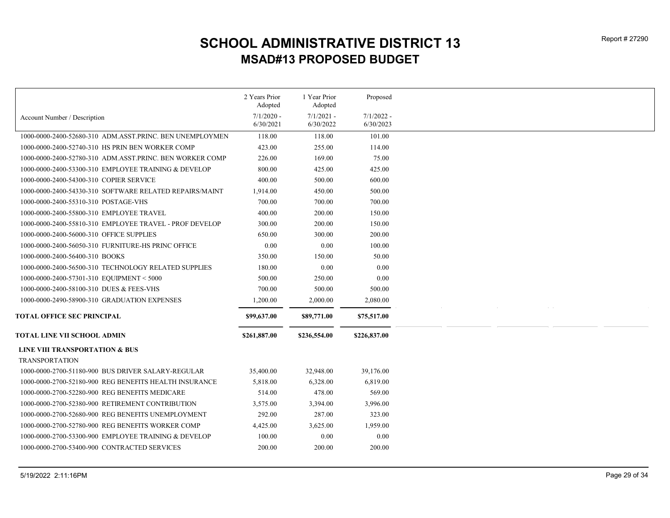|                                                          | 2 Years Prior<br>Adopted | 1 Year Prior<br>Adopted | Proposed     |
|----------------------------------------------------------|--------------------------|-------------------------|--------------|
|                                                          | $7/1/2020$ -             | $7/1/2021 -$            | $7/1/2022 -$ |
| Account Number / Description                             | 6/30/2021                | 6/30/2022               | 6/30/2023    |
| 1000-0000-2400-52680-310 ADM.ASST.PRINC. BEN UNEMPLOYMEN | 118.00                   | 118.00                  | 101.00       |
| 1000-0000-2400-52740-310 HS PRIN BEN WORKER COMP         | 423.00                   | 255.00                  | 114.00       |
| 1000-0000-2400-52780-310 ADM.ASST.PRINC. BEN WORKER COMP | 226.00                   | 169.00                  | 75.00        |
| 1000-0000-2400-53300-310 EMPLOYEE TRAINING & DEVELOP     | 800.00                   | 425.00                  | 425.00       |
| 1000-0000-2400-54300-310 COPIER SERVICE                  | 400.00                   | 500.00                  | 600.00       |
| 1000-0000-2400-54330-310 SOFTWARE RELATED REPAIRS/MAINT  | 1,914.00                 | 450.00                  | 500.00       |
| 1000-0000-2400-55310-310 POSTAGE-VHS                     | 700.00                   | 700.00                  | 700.00       |
| 1000-0000-2400-55800-310 EMPLOYEE TRAVEL                 | 400.00                   | 200.00                  | 150.00       |
| 1000-0000-2400-55810-310 EMPLOYEE TRAVEL - PROF DEVELOP  | 300.00                   | 200.00                  | 150.00       |
| 1000-0000-2400-56000-310 OFFICE SUPPLIES                 | 650.00                   | 300.00                  | 200.00       |
| 1000-0000-2400-56050-310 FURNITURE-HS PRINC OFFICE       | 0.00                     | 0.00                    | 100.00       |
| 1000-0000-2400-56400-310 BOOKS                           | 350.00                   | 150.00                  | 50.00        |
| 1000-0000-2400-56500-310 TECHNOLOGY RELATED SUPPLIES     | 180.00                   | 0.00                    | 0.00         |
| 1000-0000-2400-57301-310 EQUIPMENT < 5000                | 500.00                   | 250.00                  | 0.00         |
| 1000-0000-2400-58100-310 DUES & FEES-VHS                 | 700.00                   | 500.00                  | 500.00       |
| 1000-0000-2490-58900-310 GRADUATION EXPENSES             | 1,200.00                 | 2,000.00                | 2,080.00     |
| <b>TOTAL OFFICE SEC PRINCIPAL</b>                        | \$99,637.00              | \$89,771.00             | \$75,517.00  |
|                                                          |                          |                         |              |
| TOTAL LINE VII SCHOOL ADMIN                              | \$261,887.00             | \$236,554.00            | \$226,837.00 |
| <b>LINE VIII TRANSPORTATION &amp; BUS</b>                |                          |                         |              |
| <b>TRANSPORTATION</b>                                    |                          |                         |              |
| 1000-0000-2700-51180-900 BUS DRIVER SALARY-REGULAR       | 35,400.00                | 32,948.00               | 39,176.00    |
| 1000-0000-2700-52180-900 REG BENEFITS HEALTH INSURANCE   | 5,818.00                 | 6,328.00                | 6,819.00     |
| 1000-0000-2700-52280-900 REG BENEFITS MEDICARE           | 514.00                   | 478.00                  | 569.00       |
| 1000-0000-2700-52380-900 RETIREMENT CONTRIBUTION         | 3,575.00                 | 3,394.00                | 3,996.00     |
| 1000-0000-2700-52680-900 REG BENEFITS UNEMPLOYMENT       | 292.00                   | 287.00                  | 323.00       |
| 1000-0000-2700-52780-900 REG BENEFITS WORKER COMP        | 4,425.00                 | 3,625.00                | 1,959.00     |
| 1000-0000-2700-53300-900 EMPLOYEE TRAINING & DEVELOP     | 100.00                   | 0.00                    | 0.00         |
| 1000-0000-2700-53400-900 CONTRACTED SERVICES             | 200.00                   | 200.00                  | 200.00       |
|                                                          |                          |                         |              |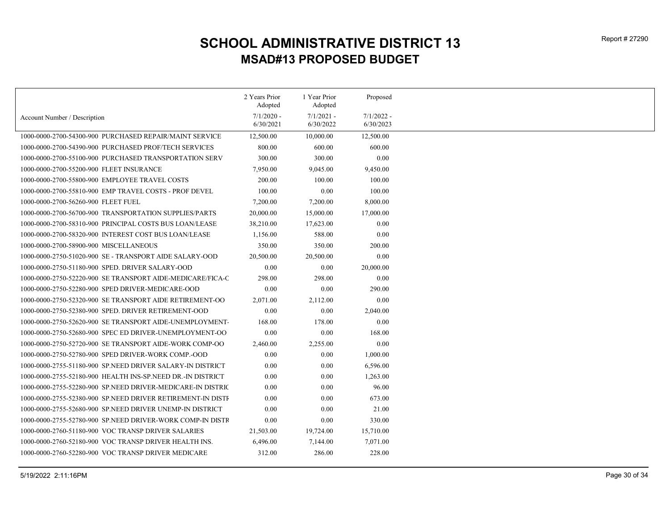|                                                              | 2 Years Prior<br>Adopted  | 1 Year Prior              | Proposed                  |
|--------------------------------------------------------------|---------------------------|---------------------------|---------------------------|
|                                                              |                           | Adopted                   |                           |
| Account Number / Description                                 | $7/1/2020$ -<br>6/30/2021 | $7/1/2021 -$<br>6/30/2022 | $7/1/2022 -$<br>6/30/2023 |
| 1000-0000-2700-54300-900 PURCHASED REPAIR/MAINT SERVICE      | 12,500.00                 | 10,000.00                 | 12,500.00                 |
| 1000-0000-2700-54390-900 PURCHASED PROF/TECH SERVICES        | 800.00                    | 600.00                    | 600.00                    |
| 1000-0000-2700-55100-900 PURCHASED TRANSPORTATION SERV       | 300.00                    | 300.00                    | 0.00                      |
| 1000-0000-2700-55200-900 FLEET INSURANCE                     | 7,950.00                  | 9,045.00                  | 9,450.00                  |
| 1000-0000-2700-55800-900 EMPLOYEE TRAVEL COSTS               | 200.00                    | 100.00                    | 100.00                    |
| 1000-0000-2700-55810-900 EMP TRAVEL COSTS - PROF DEVEL       | 100.00                    | 0.00                      | 100.00                    |
| 1000-0000-2700-56260-900 FLEET FUEL                          | 7,200.00                  | 7,200.00                  | 8,000.00                  |
| 1000-0000-2700-56700-900 TRANSPORTATION SUPPLIES/PARTS       | 20,000.00                 | 15,000.00                 | 17,000.00                 |
| 1000-0000-2700-58310-900 PRINCIPAL COSTS BUS LOAN/LEASE      | 38,210.00                 | 17,623.00                 | 0.00                      |
| 1000-0000-2700-58320-900 INTEREST COST BUS LOAN/LEASE        | 1,156.00                  | 588.00                    | 0.00                      |
| 1000-0000-2700-58900-900 MISCELLANEOUS                       | 350.00                    | 350.00                    | 200.00                    |
| 1000-0000-2750-51020-900 SE - TRANSPORT AIDE SALARY-OOD      | 20,500.00                 | 20,500.00                 | 0.00                      |
| 1000-0000-2750-51180-900 SPED. DRIVER SALARY-OOD             | 0.00                      | 0.00                      | 20,000.00                 |
| 1000-0000-2750-52220-900 SE TRANSPORT AIDE-MEDICARE/FICA-C   | 298.00                    | 298.00                    | 0.00                      |
| 1000-0000-2750-52280-900 SPED DRIVER-MEDICARE-OOD            | 0.00                      | 0.00                      | 290.00                    |
| 1000-0000-2750-52320-900 SE TRANSPORT AIDE RETIREMENT-OO     | 2,071.00                  | 2,112.00                  | 0.00                      |
| 1000-0000-2750-52380-900 SPED. DRIVER RETIREMENT-OOD         | 0.00                      | 0.00                      | 2,040.00                  |
| 1000-0000-2750-52620-900 SE TRANSPORT AIDE-UNEMPLOYMENT-     | 168.00                    | 178.00                    | 0.00                      |
| 1000-0000-2750-52680-900 SPEC ED DRIVER-UNEMPLOYMENT-OO      | $0.00\,$                  | 0.00                      | 168.00                    |
|                                                              |                           |                           | 0.00                      |
| 1000-0000-2750-52720-900 SE TRANSPORT AIDE-WORK COMP-OO      | 2,460.00                  | 2,255.00                  |                           |
| 1000-0000-2750-52780-900 SPED DRIVER-WORK COMP.-OOD          | 0.00                      | 0.00                      | 1,000.00                  |
| 1000-0000-2755-51180-900 SP. NEED DRIVER SALARY-IN DISTRICT  | 0.00                      | 0.00                      | 6,596.00                  |
| 1000-0000-2755-52180-900 HEALTH INS-SP.NEED DR.-IN DISTRICT  | 0.00                      | 0.00                      | 1,263.00                  |
| 1000-0000-2755-52280-900 SP. NEED DRIVER-MEDICARE-IN DISTRIC | 0.00                      | 0.00                      | 96.00                     |
| 1000-0000-2755-52380-900 SP.NEED DRIVER RETIREMENT-IN DISTI  | 0.00                      | $0.00\,$                  | 673.00                    |
| 1000-0000-2755-52680-900 SP.NEED DRIVER UNEMP-IN DISTRICT    | 0.00                      | 0.00                      | 21.00                     |
| 1000-0000-2755-52780-900 SP.NEED DRIVER-WORK COMP-IN DISTR   | 0.00                      | 0.00                      | 330.00                    |
| 1000-0000-2760-51180-900 VOC TRANSP DRIVER SALARIES          | 21,503.00                 | 19,724.00                 | 15,710.00                 |
| 1000-0000-2760-52180-900 VOC TRANSP DRIVER HEALTH INS.       | 6,496.00                  | 7,144.00                  | 7,071.00                  |
| 1000-0000-2760-52280-900 VOC TRANSP DRIVER MEDICARE          | 312.00                    | 286.00                    | 228.00                    |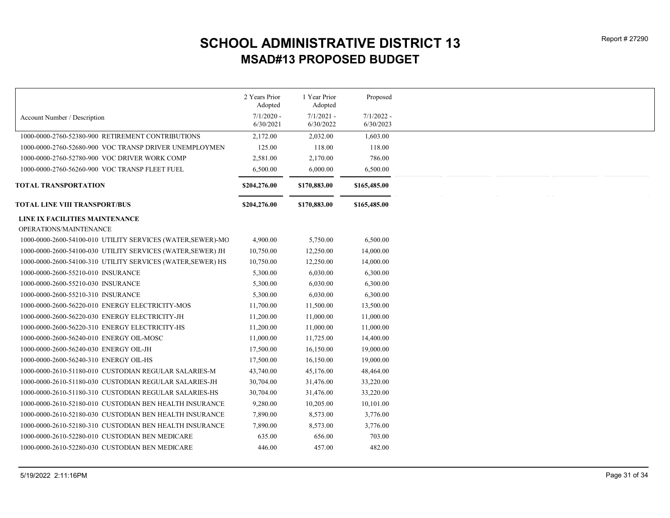|                                                             | 2 Years Prior<br>Adopted | 1 Year Prior<br>Adopted | Proposed     |
|-------------------------------------------------------------|--------------------------|-------------------------|--------------|
| Account Number / Description                                | $7/1/2020$ -             | $7/1/2021 -$            | $7/1/2022 -$ |
|                                                             | 6/30/2021                | 6/30/2022               | 6/30/2023    |
| 1000-0000-2760-52380-900 RETIREMENT CONTRIBUTIONS           | 2,172.00                 | 2,032.00                | 1,603.00     |
| 1000-0000-2760-52680-900 VOC TRANSP DRIVER UNEMPLOYMEN      | 125.00                   | 118.00                  | 118.00       |
| 1000-0000-2760-52780-900 VOC DRIVER WORK COMP               | 2,581.00                 | 2,170.00                | 786.00       |
| 1000-0000-2760-56260-900 VOC TRANSP FLEET FUEL              | 6,500.00                 | 6,000.00                | 6,500.00     |
| <b>TOTAL TRANSPORTATION</b>                                 | \$204,276.00             | \$170,883.00            | \$165,485.00 |
| TOTAL LINE VIII TRANSPORT/BUS                               | \$204,276.00             | \$170,883.00            | \$165,485.00 |
| LINE IX FACILITIES MAINTENANCE                              |                          |                         |              |
| OPERATIONS/MAINTENANCE                                      |                          |                         |              |
| 1000-0000-2600-54100-010 UTILITY SERVICES (WATER, SEWER)-MO | 4,900.00                 | 5,750.00                | 6,500.00     |
| 1000-0000-2600-54100-030 UTILITY SERVICES (WATER, SEWER) JH | 10,750.00                | 12,250.00               | 14,000.00    |
| 1000-0000-2600-54100-310 UTILITY SERVICES (WATER, SEWER) HS | 10,750.00                | 12,250.00               | 14,000.00    |
| 1000-0000-2600-55210-010 INSURANCE                          | 5,300.00                 | 6,030.00                | 6,300.00     |
| 1000-0000-2600-55210-030 INSURANCE                          | 5,300.00                 | 6,030.00                | 6,300.00     |
| 1000-0000-2600-55210-310 INSURANCE                          | 5,300.00                 | 6,030.00                | 6,300.00     |
| 1000-0000-2600-56220-010 ENERGY ELECTRICITY-MOS             | 11,700.00                | 11,500.00               | 13,500.00    |
| 1000-0000-2600-56220-030 ENERGY ELECTRICITY-JH              | 11,200.00                | 11,000.00               | 11,000.00    |
| 1000-0000-2600-56220-310 ENERGY ELECTRICITY-HS              | 11,200.00                | 11,000.00               | 11,000.00    |
| 1000-0000-2600-56240-010 ENERGY OIL-MOSC                    | 11,000.00                | 11,725.00               | 14,400.00    |
| 1000-0000-2600-56240-030 ENERGY OIL-JH                      | 17,500.00                | 16,150.00               | 19,000.00    |
| 1000-0000-2600-56240-310 ENERGY OIL-HS                      | 17,500.00                | 16,150.00               | 19,000.00    |
| 1000-0000-2610-51180-010 CUSTODIAN REGULAR SALARIES-M       | 43,740.00                | 45,176.00               | 48,464.00    |
| 1000-0000-2610-51180-030 CUSTODIAN REGULAR SALARIES-JH      | 30,704.00                | 31,476.00               | 33,220.00    |
| 1000-0000-2610-51180-310 CUSTODIAN REGULAR SALARIES-HS      | 30,704.00                | 31,476.00               | 33,220.00    |
| 1000-0000-2610-52180-010 CUSTODIAN BEN HEALTH INSURANCE     | 9,280.00                 | 10,205.00               | 10,101.00    |
| 1000-0000-2610-52180-030 CUSTODIAN BEN HEALTH INSURANCE     | 7,890.00                 | 8,573.00                | 3,776.00     |
| 1000-0000-2610-52180-310 CUSTODIAN BEN HEALTH INSURANCE     | 7,890.00                 | 8,573.00                | 3,776.00     |
| 1000-0000-2610-52280-010 CUSTODIAN BEN MEDICARE             | 635.00                   | 656.00                  | 703.00       |
| 1000-0000-2610-52280-030 CUSTODIAN BEN MEDICARE             | 446.00                   | 457.00                  | 482.00       |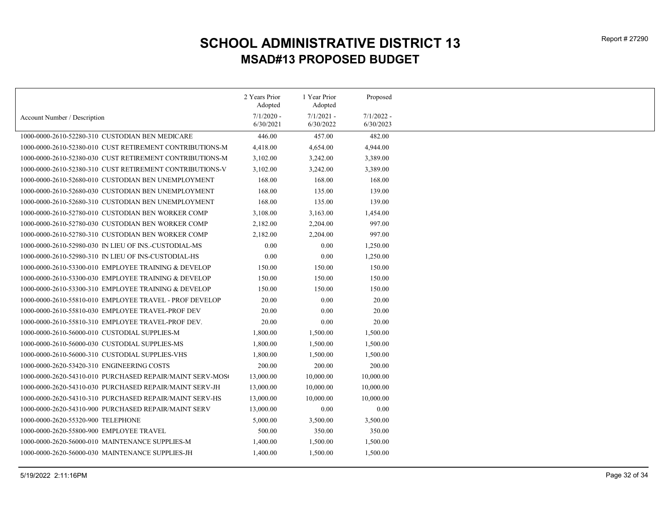|                                                            | 2 Years Prior<br>Adopted | 1 Year Prior            | Proposed     |
|------------------------------------------------------------|--------------------------|-------------------------|--------------|
|                                                            | $7/1/2020$ -             | Adopted<br>$7/1/2021 -$ | $7/1/2022 -$ |
| Account Number / Description                               | 6/30/2021                | 6/30/2022               | 6/30/2023    |
| 1000-0000-2610-52280-310 CUSTODIAN BEN MEDICARE            | 446.00                   | 457.00                  | 482.00       |
| 1000-0000-2610-52380-010 CUST RETIREMENT CONTRIBUTIONS-M   | 4,418.00                 | 4,654.00                | 4,944.00     |
| 1000-0000-2610-52380-030 CUST RETIREMENT CONTRIBUTIONS-M   | 3,102.00                 | 3,242.00                | 3,389.00     |
|                                                            | 3,102.00                 | 3,242.00                | 3,389.00     |
| 1000-0000-2610-52680-010 CUSTODIAN BEN UNEMPLOYMENT        | 168.00                   | 168.00                  | 168.00       |
| 1000-0000-2610-52680-030 CUSTODIAN BEN UNEMPLOYMENT        | 168.00                   | 135.00                  | 139.00       |
| 1000-0000-2610-52680-310 CUSTODIAN BEN UNEMPLOYMENT        | 168.00                   | 135.00                  | 139.00       |
| 1000-0000-2610-52780-010 CUSTODIAN BEN WORKER COMP         | 3,108.00                 | 3,163.00                | 1,454.00     |
| 1000-0000-2610-52780-030 CUSTODIAN BEN WORKER COMP         | 2,182.00                 | 2,204.00                | 997.00       |
| 1000-0000-2610-52780-310 CUSTODIAN BEN WORKER COMP         | 2,182.00                 | 2,204.00                | 997.00       |
| 1000-0000-2610-52980-030 IN LIEU OF INS.-CUSTODIAL-MS      | 0.00                     | 0.00                    | 1,250.00     |
| 1000-0000-2610-52980-310 IN LIEU OF INS-CUSTODIAL-HS       | 0.00                     | 0.00                    | 1,250.00     |
| 1000-0000-2610-53300-010 EMPLOYEE TRAINING & DEVELOP       | 150.00                   | 150.00                  | 150.00       |
| 1000-0000-2610-53300-030 EMPLOYEE TRAINING & DEVELOP       | 150.00                   | 150.00                  | 150.00       |
| 1000-0000-2610-53300-310 EMPLOYEE TRAINING & DEVELOP       | 150.00                   | 150.00                  | 150.00       |
| 1000-0000-2610-55810-010 EMPLOYEE TRAVEL - PROF DEVELOP    | 20.00                    | 0.00                    | 20.00        |
| 1000-0000-2610-55810-030 EMPLOYEE TRAVEL-PROF DEV          | 20.00                    | 0.00                    | 20.00        |
| 1000-0000-2610-55810-310 EMPLOYEE TRAVEL-PROF DEV.         | 20.00                    | 0.00                    | 20.00        |
| 1000-0000-2610-56000-010 CUSTODIAL SUPPLIES-M              | 1,800.00                 | 1,500.00                | 1,500.00     |
| 1000-0000-2610-56000-030 CUSTODIAL SUPPLIES-MS             | 1,800.00                 | 1,500.00                | 1,500.00     |
| 1000-0000-2610-56000-310 CUSTODIAL SUPPLIES-VHS            | 1,800.00                 | 1,500.00                | 1,500.00     |
| 1000-0000-2620-53420-310 ENGINEERING COSTS                 | 200.00                   | 200.00                  | 200.00       |
| 1000-0000-2620-54310-010  PURCHASED REPAIR/MAINT SERV-MOS( | 13,000.00                | 10,000.00               | 10,000.00    |
| 1000-0000-2620-54310-030 PURCHASED REPAIR/MAINT SERV-JH    | 13,000.00                | 10,000.00               | 10,000.00    |
| 1000-0000-2620-54310-310 PURCHASED REPAIR/MAINT SERV-HS    | 13,000.00                | 10,000.00               | 10,000.00    |
| 1000-0000-2620-54310-900 PURCHASED REPAIR/MAINT SERV       | 13,000.00                | 0.00                    | 0.00         |
| 1000-0000-2620-55320-900 TELEPHONE                         | 5,000.00                 | 3,500.00                | 3,500.00     |
| 1000-0000-2620-55800-900 EMPLOYEE TRAVEL                   | 500.00                   | 350.00                  | 350.00       |
| 1000-0000-2620-56000-010 MAINTENANCE SUPPLIES-M            | 1,400.00                 | 1,500.00                | 1,500.00     |
| 1000-0000-2620-56000-030 MAINTENANCE SUPPLIES-JH           | 1,400.00                 | 1,500.00                | 1,500.00     |